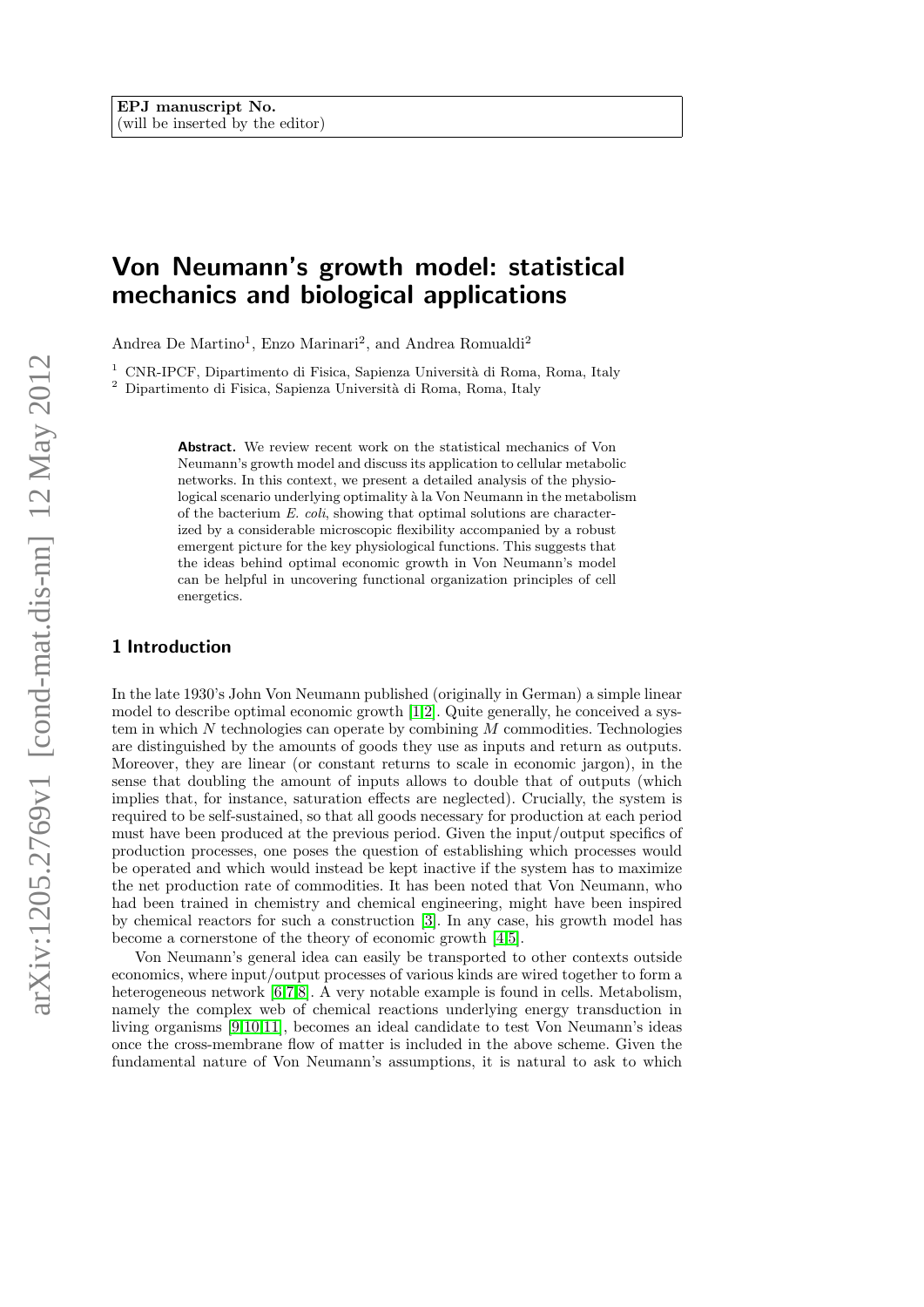# Von Neumann's growth model: statistical mechanics and biological applications

Andrea De Martino<sup>1</sup>, Enzo Marinari<sup>2</sup>, and Andrea Romualdi<sup>2</sup>

 $1$  CNR-IPCF, Dipartimento di Fisica, Sapienza Università di Roma, Roma, Italy

 $^{\rm 2}$  Dipartimento di Fisica, Sapienza Università di Roma, Roma, Italy

Abstract. We review recent work on the statistical mechanics of Von Neumann's growth model and discuss its application to cellular metabolic networks. In this context, we present a detailed analysis of the physiological scenario underlying optimality à la Von Neumann in the metabolism of the bacterium E. coli, showing that optimal solutions are characterized by a considerable microscopic flexibility accompanied by a robust emergent picture for the key physiological functions. This suggests that the ideas behind optimal economic growth in Von Neumann's model can be helpful in uncovering functional organization principles of cell energetics.

# 1 Introduction

In the late 1930's John Von Neumann published (originally in German) a simple linear model to describe optimal economic growth [\[1,](#page-18-0)[2\]](#page-18-1). Quite generally, he conceived a system in which  $N$  technologies can operate by combining  $M$  commodities. Technologies are distinguished by the amounts of goods they use as inputs and return as outputs. Moreover, they are linear (or constant returns to scale in economic jargon), in the sense that doubling the amount of inputs allows to double that of outputs (which implies that, for instance, saturation effects are neglected). Crucially, the system is required to be self-sustained, so that all goods necessary for production at each period must have been produced at the previous period. Given the input/output specifics of production processes, one poses the question of establishing which processes would be operated and which would instead be kept inactive if the system has to maximize the net production rate of commodities. It has been noted that Von Neumann, who had been trained in chemistry and chemical engineering, might have been inspired by chemical reactors for such a construction [\[3\]](#page-18-2). In any case, his growth model has become a cornerstone of the theory of economic growth [\[4,](#page-18-3)[5\]](#page-18-4).

Von Neumann's general idea can easily be transported to other contexts outside economics, where input/output processes of various kinds are wired together to form a heterogeneous network [\[6,](#page-18-5)[7](#page-18-6)[,8\]](#page-18-7). A very notable example is found in cells. Metabolism, namely the complex web of chemical reactions underlying energy transduction in living organisms [\[9](#page-18-8)[,10,](#page-18-9)[11\]](#page-18-10), becomes an ideal candidate to test Von Neumann's ideas once the cross-membrane flow of matter is included in the above scheme. Given the fundamental nature of Von Neumann's assumptions, it is natural to ask to which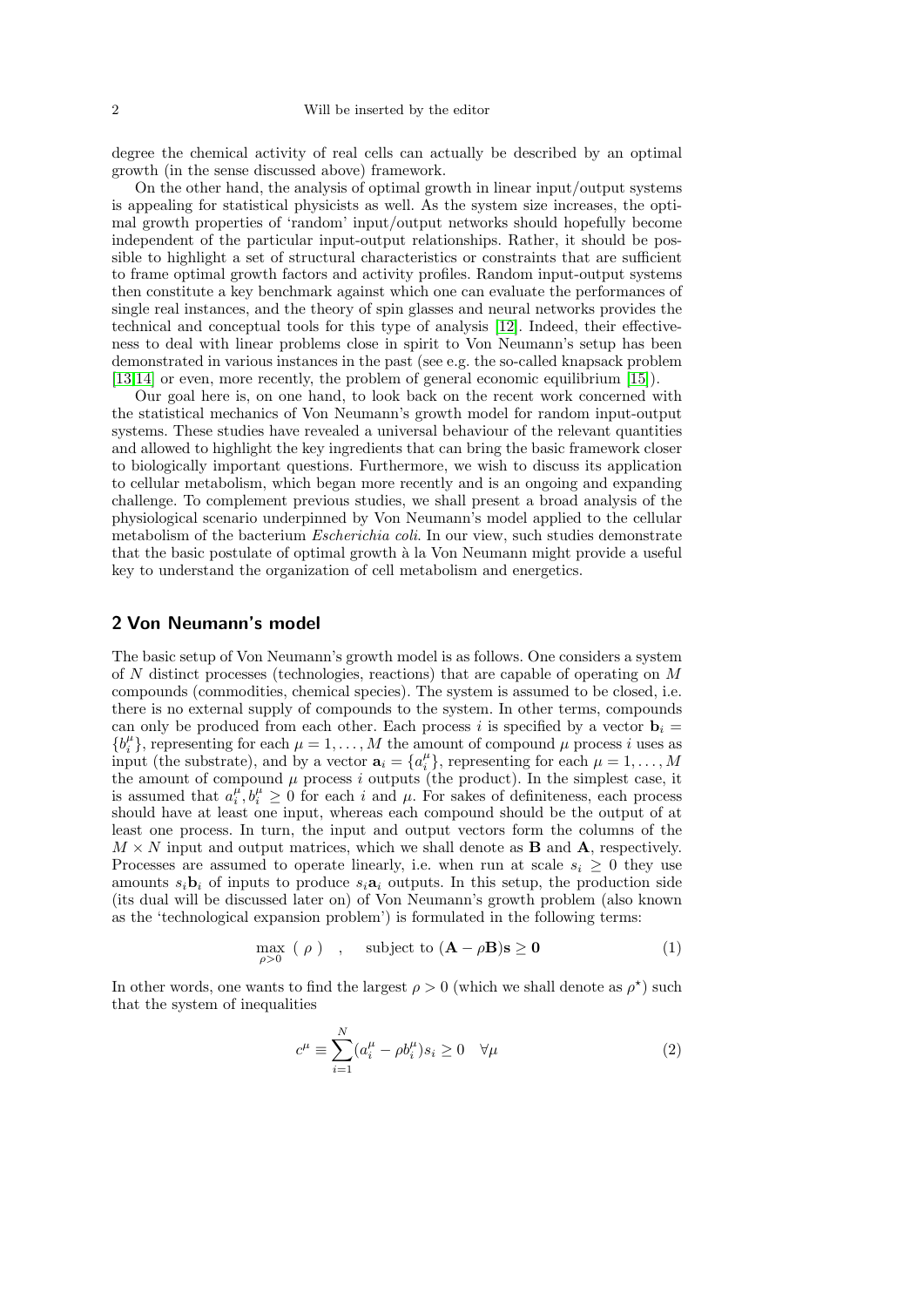degree the chemical activity of real cells can actually be described by an optimal growth (in the sense discussed above) framework.

On the other hand, the analysis of optimal growth in linear input/output systems is appealing for statistical physicists as well. As the system size increases, the optimal growth properties of 'random' input/output networks should hopefully become independent of the particular input-output relationships. Rather, it should be possible to highlight a set of structural characteristics or constraints that are sufficient to frame optimal growth factors and activity profiles. Random input-output systems then constitute a key benchmark against which one can evaluate the performances of single real instances, and the theory of spin glasses and neural networks provides the technical and conceptual tools for this type of analysis [\[12\]](#page-18-11). Indeed, their effectiveness to deal with linear problems close in spirit to Von Neumann's setup has been demonstrated in various instances in the past (see e.g. the so-called knapsack problem [\[13,](#page-18-12)[14\]](#page-18-13) or even, more recently, the problem of general economic equilibrium [\[15\]](#page-18-14)).

Our goal here is, on one hand, to look back on the recent work concerned with the statistical mechanics of Von Neumann's growth model for random input-output systems. These studies have revealed a universal behaviour of the relevant quantities and allowed to highlight the key ingredients that can bring the basic framework closer to biologically important questions. Furthermore, we wish to discuss its application to cellular metabolism, which began more recently and is an ongoing and expanding challenge. To complement previous studies, we shall present a broad analysis of the physiological scenario underpinned by Von Neumann's model applied to the cellular metabolism of the bacterium Escherichia coli. In our view, such studies demonstrate that the basic postulate of optimal growth à la Von Neumann might provide a useful key to understand the organization of cell metabolism and energetics.

# 2 Von Neumann's model

The basic setup of Von Neumann's growth model is as follows. One considers a system of N distinct processes (technologies, reactions) that are capable of operating on M compounds (commodities, chemical species). The system is assumed to be closed, i.e. there is no external supply of compounds to the system. In other terms, compounds can only be produced from each other. Each process i is specified by a vector  $\mathbf{b}_i =$  ${b_i^{\mu}}$ , representing for each  $\mu = 1, ..., M$  the amount of compound  $\mu$  process i uses as input (the substrate), and by a vector  $\mathbf{a}_i = \{a_i^{\mu}\}\$ , representing for each  $\mu = 1, \ldots, M$ the amount of compound  $\mu$  process i outputs (the product). In the simplest case, it is assumed that  $a_i^{\mu}, b_i^{\mu} \geq 0$  for each i and  $\mu$ . For sakes of definiteness, each process should have at least one input, whereas each compound should be the output of at least one process. In turn, the input and output vectors form the columns of the  $M \times N$  input and output matrices, which we shall denote as **B** and **A**, respectively. Processes are assumed to operate linearly, i.e. when run at scale  $s_i \geq 0$  they use amounts  $s_i$ **b**<sub>i</sub> of inputs to produce  $s_i$ **a**<sub>i</sub> outputs. In this setup, the production side (its dual will be discussed later on) of Von Neumann's growth problem (also known as the 'technological expansion problem') is formulated in the following terms:

<span id="page-1-1"></span>
$$
\max_{\rho>0} \ (\rho) \ , \quad \text{subject to } (\mathbf{A} - \rho \mathbf{B})\mathbf{s} \ge \mathbf{0} \tag{1}
$$

In other words, one wants to find the largest  $\rho > 0$  (which we shall denote as  $\rho^*$ ) such that the system of inequalities

<span id="page-1-0"></span>
$$
c^{\mu} \equiv \sum_{i=1}^{N} (a_i^{\mu} - \rho b_i^{\mu}) s_i \ge 0 \quad \forall \mu
$$
 (2)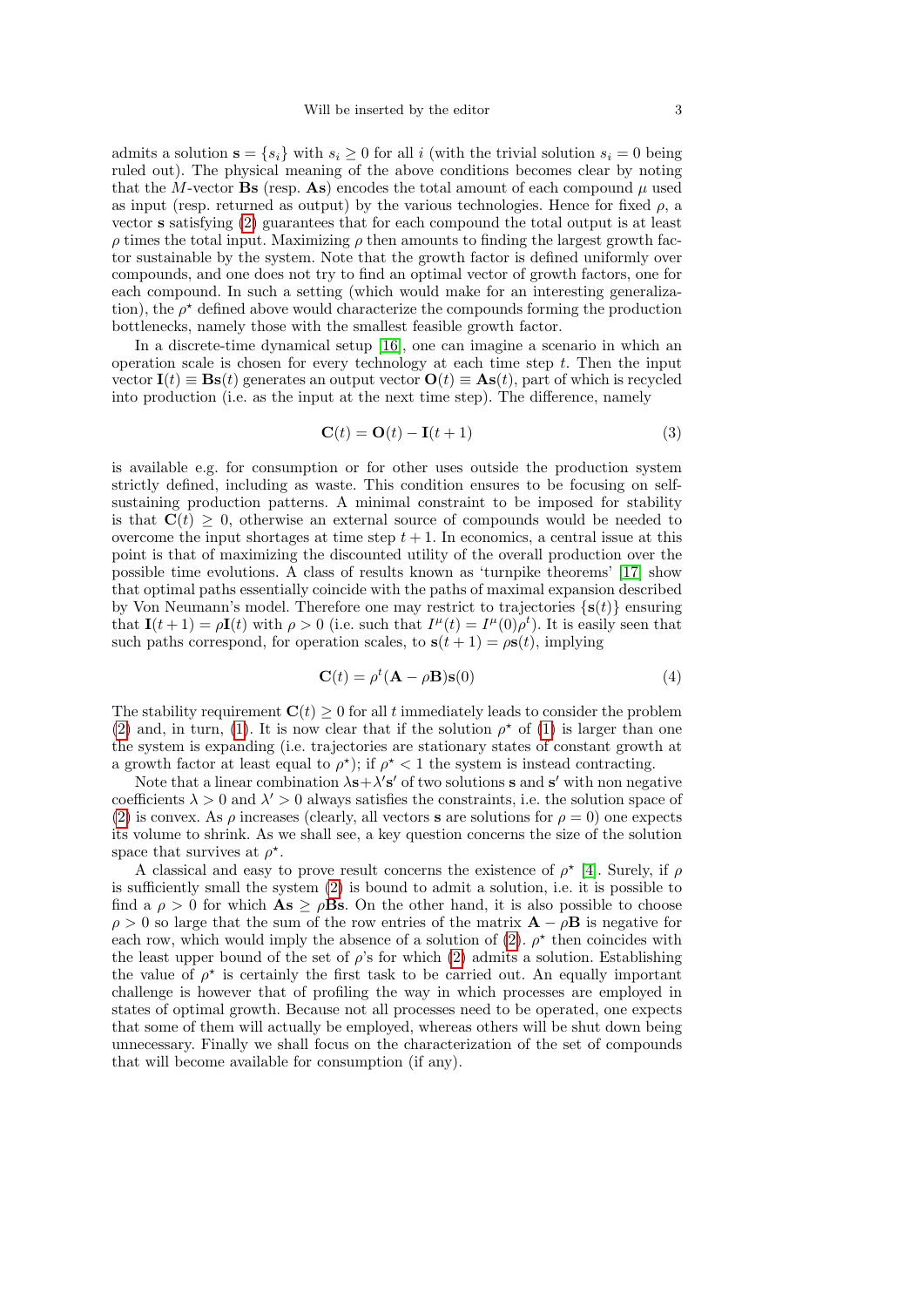admits a solution  $s = \{s_i\}$  with  $s_i \geq 0$  for all i (with the trivial solution  $s_i = 0$  being ruled out). The physical meaning of the above conditions becomes clear by noting that the M-vector **Bs** (resp. As) encodes the total amount of each compound  $\mu$  used as input (resp. returned as output) by the various technologies. Hence for fixed  $\rho$ , a vector s satisfying [\(2\)](#page-1-0) guarantees that for each compound the total output is at least ρ times the total input. Maximizing ρ then amounts to finding the largest growth factor sustainable by the system. Note that the growth factor is defined uniformly over compounds, and one does not try to find an optimal vector of growth factors, one for each compound. In such a setting (which would make for an interesting generalization), the  $\rho^*$  defined above would characterize the compounds forming the production bottlenecks, namely those with the smallest feasible growth factor.

In a discrete-time dynamical setup [\[16\]](#page-18-15), one can imagine a scenario in which an operation scale is chosen for every technology at each time step  $t$ . Then the input vector  $I(t) \equiv \mathbf{Bs}(t)$  generates an output vector  $\mathbf{O}(t) \equiv \mathbf{As}(t)$ , part of which is recycled into production (i.e. as the input at the next time step). The difference, namely

$$
\mathbf{C}(t) = \mathbf{O}(t) - \mathbf{I}(t+1) \tag{3}
$$

is available e.g. for consumption or for other uses outside the production system strictly defined, including as waste. This condition ensures to be focusing on selfsustaining production patterns. A minimal constraint to be imposed for stability is that  $C(t) \geq 0$ , otherwise an external source of compounds would be needed to overcome the input shortages at time step  $t + 1$ . In economics, a central issue at this point is that of maximizing the discounted utility of the overall production over the possible time evolutions. A class of results known as 'turnpike theorems' [\[17\]](#page-18-16) show that optimal paths essentially coincide with the paths of maximal expansion described by Von Neumann's model. Therefore one may restrict to trajectories  $\{s(t)\}\$ ensuring that  $I(t+1) = \rho I(t)$  with  $\rho > 0$  (i.e. such that  $I^{\mu}(t) = I^{\mu}(0)\rho^{t}$ ). It is easily seen that such paths correspond, for operation scales, to  $s(t + 1) = \rho s(t)$ , implying

$$
\mathbf{C}(t) = \rho^t (\mathbf{A} - \rho \mathbf{B}) \mathbf{s}(0)
$$
 (4)

The stability requirement  $\mathbf{C}(t) \geq 0$  for all t immediately leads to consider the problem [\(2\)](#page-1-0) and, in turn, [\(1\)](#page-1-1). It is now clear that if the solution  $\rho^*$  of (1) is larger than one the system is expanding (i.e. trajectories are stationary states of constant growth at a growth factor at least equal to  $\rho^*$ ); if  $\rho^*$  < 1 the system is instead contracting.

Note that a linear combination  $\lambda s + \lambda' s'$  of two solutions s and s' with non negative coefficients  $\lambda > 0$  and  $\lambda' > 0$  always satisfies the constraints, i.e. the solution space of [\(2\)](#page-1-0) is convex. As  $\rho$  increases (clearly, all vectors **s** are solutions for  $\rho = 0$ ) one expects its volume to shrink. As we shall see, a key question concerns the size of the solution space that survives at  $\rho^*$ .

A classical and easy to prove result concerns the existence of  $\rho^*$  [\[4\]](#page-18-3). Surely, if  $\rho$ is sufficiently small the system [\(2\)](#page-1-0) is bound to admit a solution, i.e. it is possible to find a  $\rho > 0$  for which  $\mathbf{As} \geq \rho \mathbf{Bs}$ . On the other hand, it is also possible to choose  $\rho > 0$  so large that the sum of the row entries of the matrix  $\mathbf{A} - \rho \mathbf{B}$  is negative for each row, which would imply the absence of a solution of  $(2)$ .  $\rho^*$  then coincides with the least upper bound of the set of  $\rho$ 's for which [\(2\)](#page-1-0) admits a solution. Establishing the value of  $\rho^*$  is certainly the first task to be carried out. An equally important challenge is however that of profiling the way in which processes are employed in states of optimal growth. Because not all processes need to be operated, one expects that some of them will actually be employed, whereas others will be shut down being unnecessary. Finally we shall focus on the characterization of the set of compounds that will become available for consumption (if any).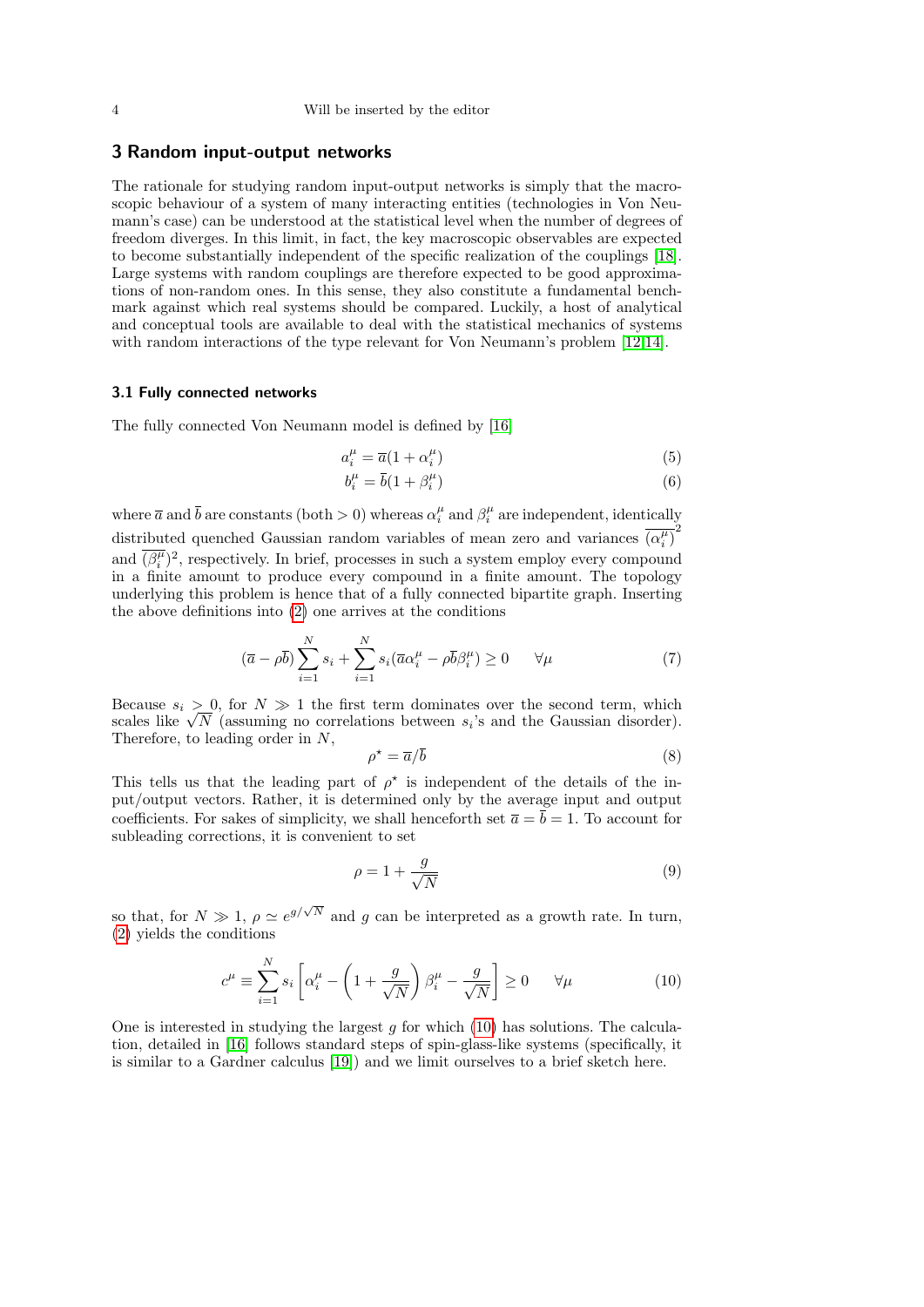## 3 Random input-output networks

The rationale for studying random input-output networks is simply that the macroscopic behaviour of a system of many interacting entities (technologies in Von Neumann's case) can be understood at the statistical level when the number of degrees of freedom diverges. In this limit, in fact, the key macroscopic observables are expected to become substantially independent of the specific realization of the couplings [\[18\]](#page-18-17). Large systems with random couplings are therefore expected to be good approximations of non-random ones. In this sense, they also constitute a fundamental benchmark against which real systems should be compared. Luckily, a host of analytical and conceptual tools are available to deal with the statistical mechanics of systems with random interactions of the type relevant for Von Neumann's problem [\[12,](#page-18-11)[14\]](#page-18-13).

## 3.1 Fully connected networks

The fully connected Von Neumann model is defined by [\[16\]](#page-18-15)

$$
a_i^{\mu} = \overline{a}(1 + \alpha_i^{\mu})
$$
\n<sup>(5)</sup>

<span id="page-3-1"></span>
$$
b_i^{\mu} = \overline{b}(1 + \beta_i^{\mu})
$$
\n<sup>(6)</sup>

where  $\bar{a}$  and  $\bar{b}$  are constants (both > 0) whereas  $\alpha_i^{\mu}$  and  $\beta_i^{\mu}$  are independent, identically distributed quenched Gaussian random variables of mean zero and variances  $\overline{(\alpha_i^{\mu})}^2$ and  $\overline{(\beta_i^{\mu})^2}$ , respectively. In brief, processes in such a system employ every compound in a finite amount to produce every compound in a finite amount. The topology underlying this problem is hence that of a fully connected bipartite graph. Inserting the above definitions into [\(2\)](#page-1-0) one arrives at the conditions

$$
(\overline{a} - \rho \overline{b}) \sum_{i=1}^{N} s_i + \sum_{i=1}^{N} s_i (\overline{a} \alpha_i^{\mu} - \rho \overline{b} \beta_i^{\mu}) \ge 0 \qquad \forall \mu
$$
 (7)

Because  $s_i > 0$ , for  $N \gg 1$  the first term dominates over the second term, which Because  $s_i > 0$ , for  $N \gg 1$  the first term dominates over the second term, which scales like  $\sqrt{N}$  (assuming no correlations between  $s_i$ 's and the Gaussian disorder). Therefore, to leading order in N,

$$
\rho^* = \overline{a}/\overline{b} \tag{8}
$$

This tells us that the leading part of  $\rho^*$  is independent of the details of the input/output vectors. Rather, it is determined only by the average input and output coefficients. For sakes of simplicity, we shall henceforth set  $\bar{a} = \bar{b} = 1$ . To account for subleading corrections, it is convenient to set

$$
\rho = 1 + \frac{g}{\sqrt{N}}\tag{9}
$$

so that, for  $N \gg 1$ ,  $\rho \simeq e^{g/\sqrt{N}}$  and g can be interpreted as a growth rate. In turn, [\(2\)](#page-1-0) yields the conditions

<span id="page-3-0"></span>
$$
c^{\mu} \equiv \sum_{i=1}^{N} s_i \left[ \alpha_i^{\mu} - \left( 1 + \frac{g}{\sqrt{N}} \right) \beta_i^{\mu} - \frac{g}{\sqrt{N}} \right] \ge 0 \quad \forall \mu
$$
 (10)

One is interested in studying the largest  $g$  for which [\(10\)](#page-3-0) has solutions. The calculation, detailed in [\[16\]](#page-18-15) follows standard steps of spin-glass-like systems (specifically, it is similar to a Gardner calculus [\[19\]](#page-18-18)) and we limit ourselves to a brief sketch here.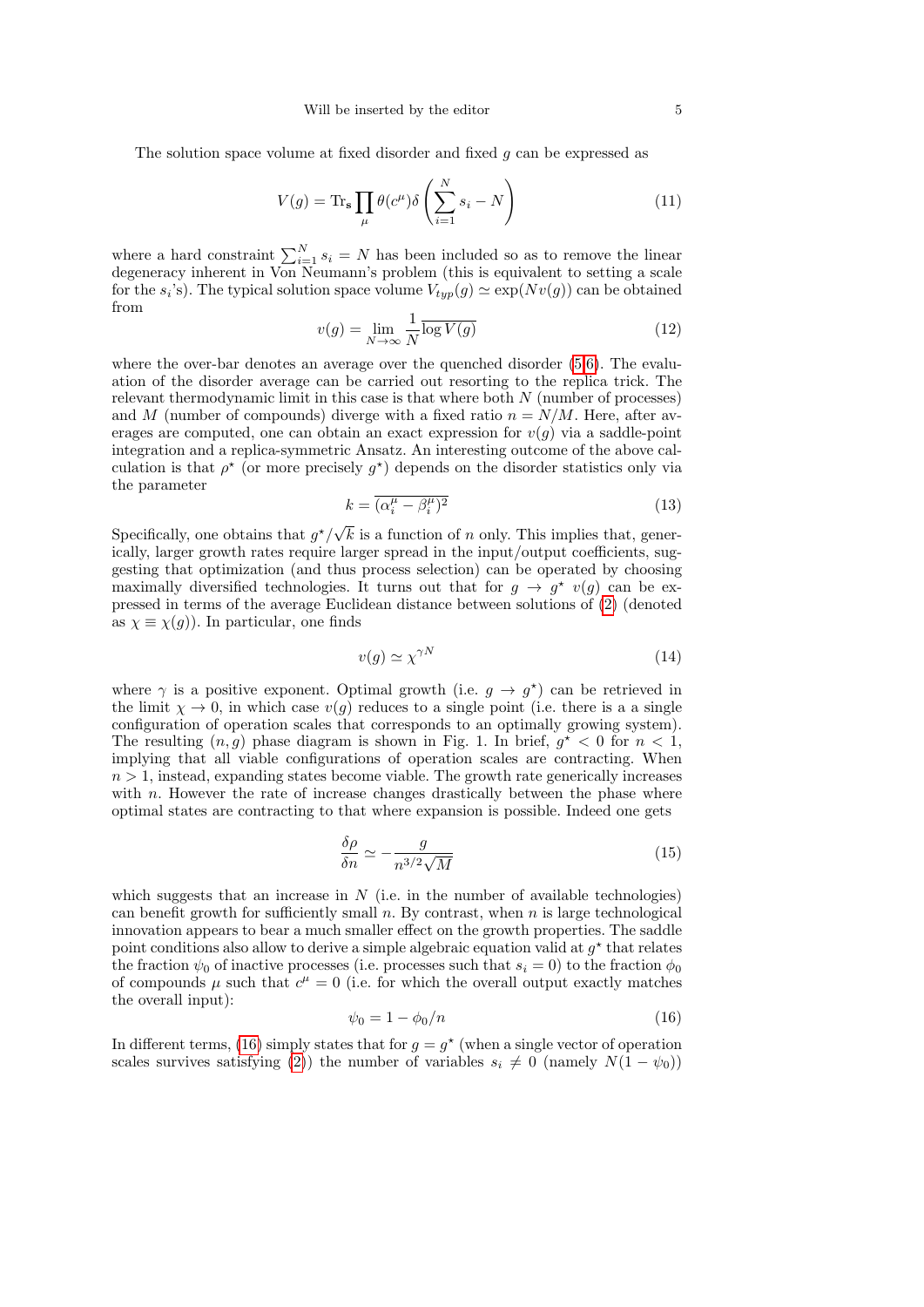The solution space volume at fixed disorder and fixed  $g$  can be expressed as

<span id="page-4-1"></span>
$$
V(g) = \text{Tr}_{\mathbf{s}} \prod_{\mu} \theta(c^{\mu}) \delta\left(\sum_{i=1}^{N} s_i - N\right)
$$
 (11)

where a hard constraint  $\sum_{i=1}^{N} s_i = N$  has been included so as to remove the linear degeneracy inherent in Von Neumann's problem (this is equivalent to setting a scale for the  $s_i$ 's). The typical solution space volume  $V_{typ}(g) \simeq \exp(Nv(g))$  can be obtained from

$$
v(g) = \lim_{N \to \infty} \frac{1}{N} \overline{\log V(g)} \tag{12}
$$

where the over-bar denotes an average over the quenched disorder  $(5,6)$ . The evaluation of the disorder average can be carried out resorting to the replica trick. The relevant thermodynamic limit in this case is that where both  $N$  (number of processes) and M (number of compounds) diverge with a fixed ratio  $n = N/M$ . Here, after averages are computed, one can obtain an exact expression for  $v(g)$  via a saddle-point integration and a replica-symmetric Ansatz. An interesting outcome of the above calculation is that  $\rho^*$  (or more precisely  $g^*$ ) depends on the disorder statistics only via the parameter

$$
k = \overline{(\alpha_i^{\mu} - \beta_i^{\mu})^2} \tag{13}
$$

Specifically, one obtains that  $g^* / \sqrt{ }$  $k$  is a function of n only. This implies that, generically, larger growth rates require larger spread in the input/output coefficients, suggesting that optimization (and thus process selection) can be operated by choosing maximally diversified technologies. It turns out that for  $g \to g^* v(g)$  can be expressed in terms of the average Euclidean distance between solutions of [\(2\)](#page-1-0) (denoted as  $\chi \equiv \chi(g)$ ). In particular, one finds

$$
v(g) \simeq \chi^{\gamma N} \tag{14}
$$

where  $\gamma$  is a positive exponent. Optimal growth (i.e.  $g \to g^*$ ) can be retrieved in the limit  $\chi \to 0$ , in which case  $v(g)$  reduces to a single point (i.e. there is a a single configuration of operation scales that corresponds to an optimally growing system). The resulting  $(n, g)$  phase diagram is shown in Fig. 1. In brief,  $g^* < 0$  for  $n < 1$ , implying that all viable configurations of operation scales are contracting. When  $n > 1$ , instead, expanding states become viable. The growth rate generically increases with  $n$ . However the rate of increase changes drastically between the phase where optimal states are contracting to that where expansion is possible. Indeed one gets

$$
\frac{\delta \rho}{\delta n} \simeq -\frac{g}{n^{3/2} \sqrt{M}}\tag{15}
$$

which suggests that an increase in  $N$  (i.e. in the number of available technologies) can benefit growth for sufficiently small  $n$ . By contrast, when  $n$  is large technological innovation appears to bear a much smaller effect on the growth properties. The saddle point conditions also allow to derive a simple algebraic equation valid at  $g^*$  that relates the fraction  $\psi_0$  of inactive processes (i.e. processes such that  $s_i = 0$ ) to the fraction  $\phi_0$ of compounds  $\mu$  such that  $c^{\mu} = 0$  (i.e. for which the overall output exactly matches the overall input):

<span id="page-4-0"></span>
$$
\psi_0 = 1 - \phi_0/n \tag{16}
$$

In different terms, [\(16\)](#page-4-0) simply states that for  $g = g^*$  (when a single vector of operation scales survives satisfying [\(2\)](#page-1-0)) the number of variables  $s_i \neq 0$  (namely  $N(1 - \psi_0)$ )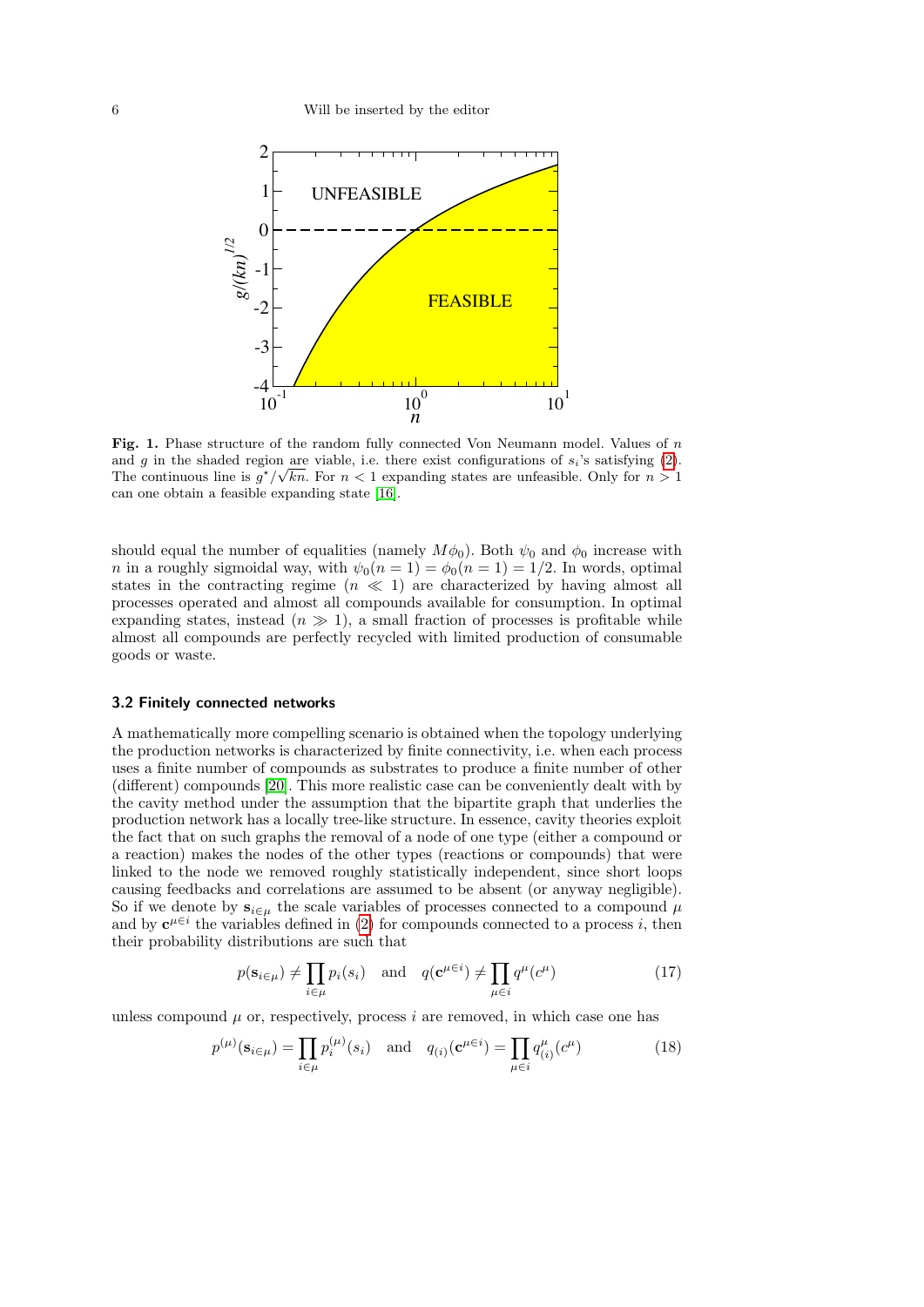

Fig. 1. Phase structure of the random fully connected Von Neumann model. Values of n and g in the shaded region are viable, i.e. there exist configurations of  $s_i$ 's satisfying [\(2\)](#page-1-0). The continuous line is  $g^*/\sqrt{kn}$ . For  $n < 1$  expanding states are unfeasible. Only for  $n > 1$ can one obtain a feasible expanding state [\[16\]](#page-18-15).

should equal the number of equalities (namely  $M\phi_0$ ). Both  $\psi_0$  and  $\phi_0$  increase with n in a roughly sigmoidal way, with  $\psi_0(n=1) = \phi_0(n=1) = 1/2$ . In words, optimal states in the contracting regime  $(n \ll 1)$  are characterized by having almost all processes operated and almost all compounds available for consumption. In optimal expanding states, instead  $(n \gg 1)$ , a small fraction of processes is profitable while almost all compounds are perfectly recycled with limited production of consumable goods or waste.

## 3.2 Finitely connected networks

A mathematically more compelling scenario is obtained when the topology underlying the production networks is characterized by finite connectivity, i.e. when each process uses a finite number of compounds as substrates to produce a finite number of other (different) compounds [\[20\]](#page-18-19). This more realistic case can be conveniently dealt with by the cavity method under the assumption that the bipartite graph that underlies the production network has a locally tree-like structure. In essence, cavity theories exploit the fact that on such graphs the removal of a node of one type (either a compound or a reaction) makes the nodes of the other types (reactions or compounds) that were linked to the node we removed roughly statistically independent, since short loops causing feedbacks and correlations are assumed to be absent (or anyway negligible). So if we denote by  $s_{i \in \mu}$  the scale variables of processes connected to a compound  $\mu$ and by  $\mathbf{c}^{\mu \in i}$  the variables defined in [\(2\)](#page-1-0) for compounds connected to a process i, then their probability distributions are such that

$$
p(\mathbf{s}_{i \in \mu}) \neq \prod_{i \in \mu} p_i(s_i) \quad \text{and} \quad q(\mathbf{c}^{\mu \in i}) \neq \prod_{\mu \in i} q^{\mu}(c^{\mu})
$$
 (17)

unless compound  $\mu$  or, respectively, process i are removed, in which case one has

$$
p^{(\mu)}(\mathbf{s}_{i \in \mu}) = \prod_{i \in \mu} p_i^{(\mu)}(s_i) \text{ and } q_{(i)}(\mathbf{c}^{\mu \in i}) = \prod_{\mu \in i} q_{(i)}^{\mu}(c^{\mu})
$$
(18)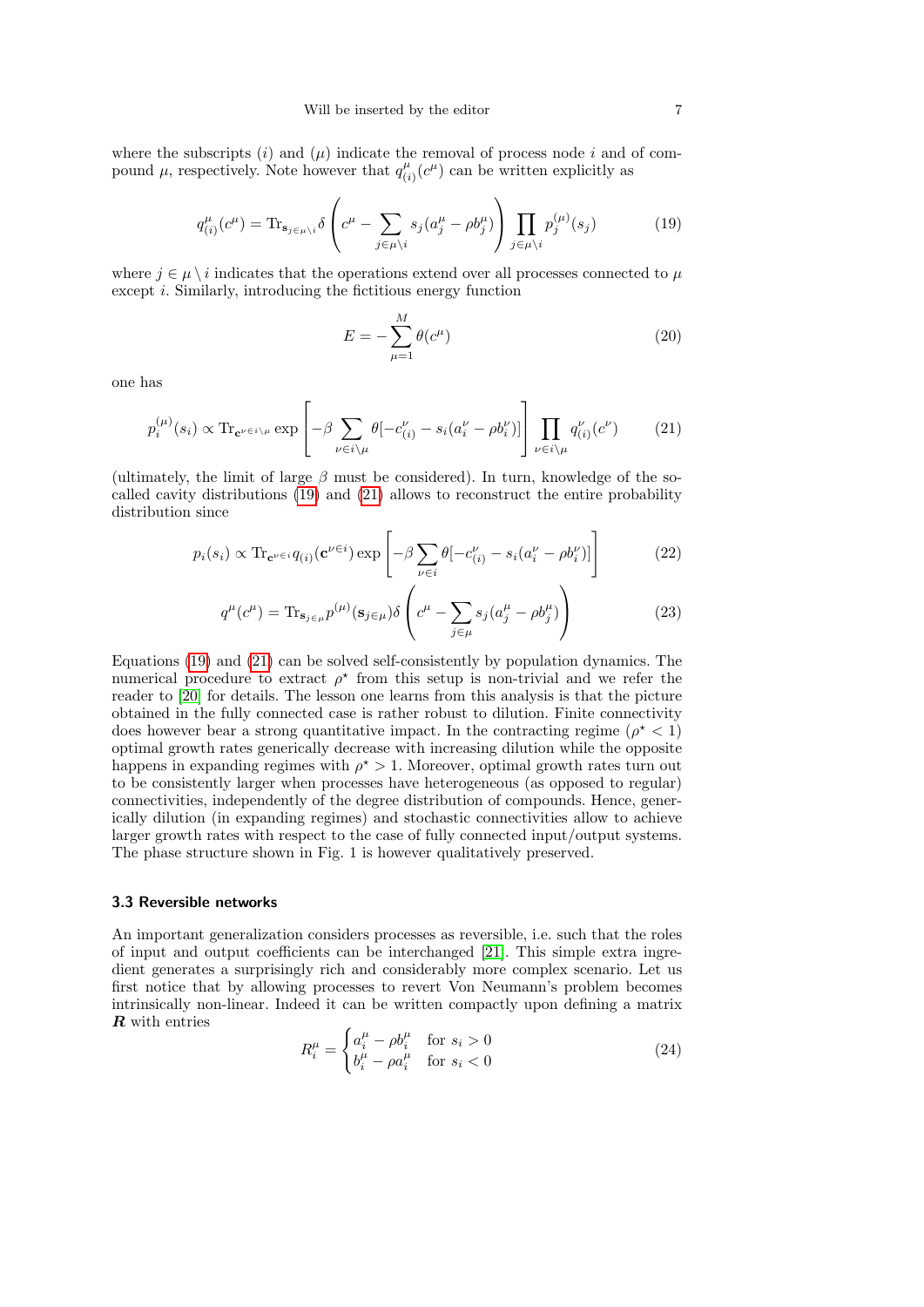where the subscripts (i) and ( $\mu$ ) indicate the removal of process node i and of compound  $\mu$ , respectively. Note however that  $q_{\ell}^{\mu}$  $\binom{\mu}{i}(c^{\mu})$  can be written explicitly as

<span id="page-6-0"></span>
$$
q_{(i)}^{\mu}(c^{\mu}) = \text{Tr}_{\mathbf{s}_{j \in \mu \backslash i}} \delta\left(c^{\mu} - \sum_{j \in \mu \backslash i} s_j (a_j^{\mu} - \rho b_j^{\mu})\right) \prod_{j \in \mu \backslash i} p_j^{(\mu)}(s_j)
$$
(19)

where  $j \in \mu \setminus i$  indicates that the operations extend over all processes connected to  $\mu$ except i. Similarly, introducing the fictitious energy function

$$
E = -\sum_{\mu=1}^{M} \theta(c^{\mu})
$$
\n(20)

one has

<span id="page-6-1"></span>
$$
p_i^{(\mu)}(s_i) \propto \text{Tr}_{\mathbf{c}^{\nu \in i \setminus \mu}} \exp\left[ -\beta \sum_{\nu \in i \setminus \mu} \theta[-c_{(i)}^{\nu} - s_i(a_i^{\nu} - \rho b_i^{\nu})] \right] \prod_{\nu \in i \setminus \mu} q_{(i)}^{\nu}(c^{\nu}) \tag{21}
$$

(ultimately, the limit of large  $\beta$  must be considered). In turn, knowledge of the socalled cavity distributions [\(19\)](#page-6-0) and [\(21\)](#page-6-1) allows to reconstruct the entire probability distribution since

$$
p_i(s_i) \propto \text{Tr}_{\mathbf{c}^{\nu \in i}} q_{(i)}(\mathbf{c}^{\nu \in i}) \exp\left[-\beta \sum_{\nu \in i} \theta[-c_{(i)}^{\nu} - s_i(a_i^{\nu} - \rho b_i^{\nu})]\right]
$$
(22)

$$
q^{\mu}(c^{\mu}) = \text{Tr}_{\mathbf{s}_{j\in\mu}} p^{(\mu)}(\mathbf{s}_{j\in\mu}) \delta\left(c^{\mu} - \sum_{j\in\mu} s_j (a_j^{\mu} - \rho b_j^{\mu})\right)
$$
(23)

Equations [\(19\)](#page-6-0) and [\(21\)](#page-6-1) can be solved self-consistently by population dynamics. The numerical procedure to extract  $\rho^*$  from this setup is non-trivial and we refer the reader to [\[20\]](#page-18-19) for details. The lesson one learns from this analysis is that the picture obtained in the fully connected case is rather robust to dilution. Finite connectivity does however bear a strong quantitative impact. In the contracting regime  $(\rho^* < 1)$ optimal growth rates generically decrease with increasing dilution while the opposite happens in expanding regimes with  $\rho^* > 1$ . Moreover, optimal growth rates turn out to be consistently larger when processes have heterogeneous (as opposed to regular) connectivities, independently of the degree distribution of compounds. Hence, generically dilution (in expanding regimes) and stochastic connectivities allow to achieve larger growth rates with respect to the case of fully connected input/output systems. The phase structure shown in Fig. 1 is however qualitatively preserved.

#### 3.3 Reversible networks

An important generalization considers processes as reversible, i.e. such that the roles of input and output coefficients can be interchanged [\[21\]](#page-18-20). This simple extra ingredient generates a surprisingly rich and considerably more complex scenario. Let us first notice that by allowing processes to revert Von Neumann's problem becomes intrinsically non-linear. Indeed it can be written compactly upon defining a matrix R with entries

$$
R_i^{\mu} = \begin{cases} a_i^{\mu} - \rho b_i^{\mu} & \text{for } s_i > 0\\ b_i^{\mu} - \rho a_i^{\mu} & \text{for } s_i < 0 \end{cases}
$$
 (24)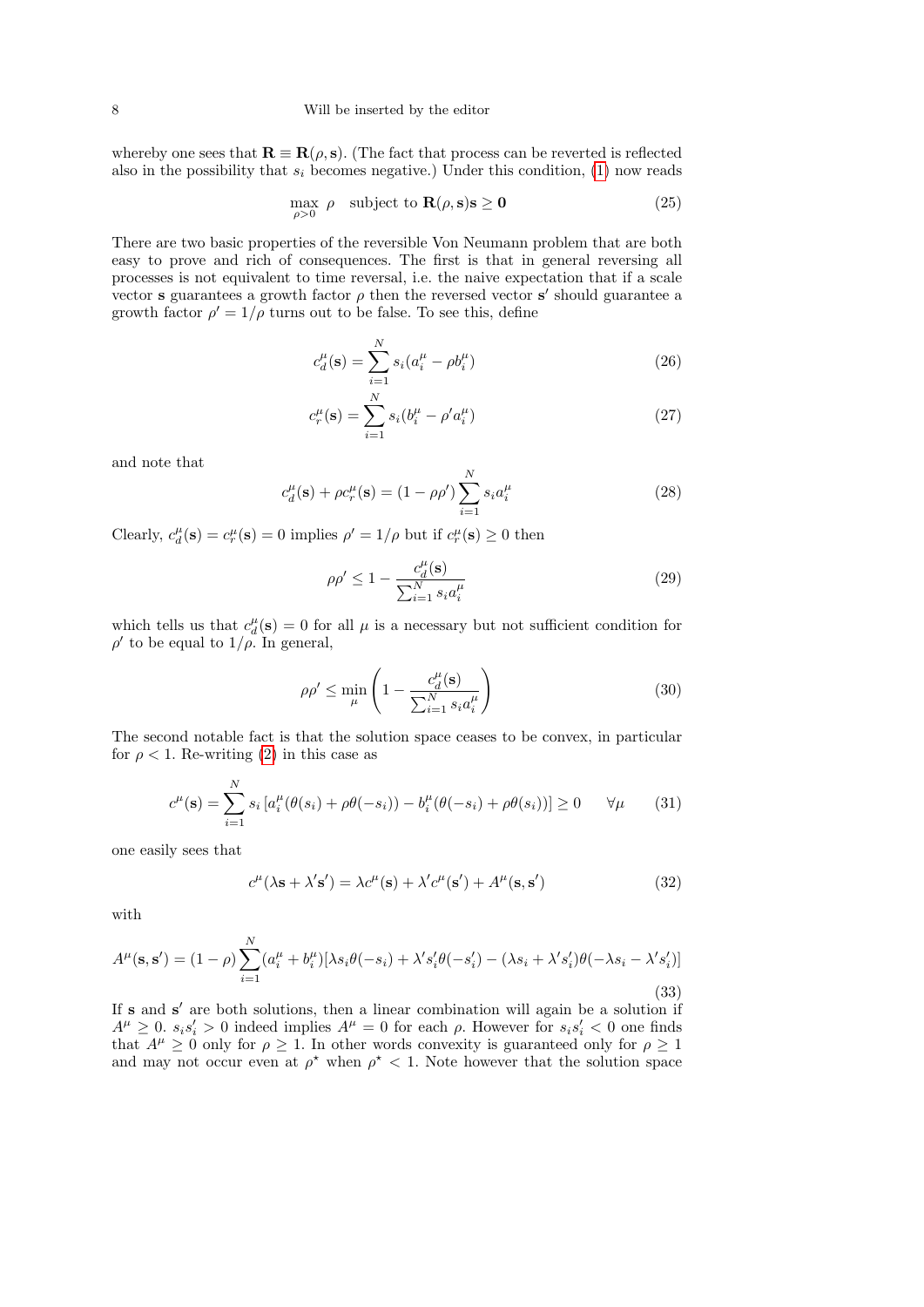## 8 Will be inserted by the editor

whereby one sees that  $\mathbf{R} \equiv \mathbf{R}(\rho, \mathbf{s})$ . (The fact that process can be reverted is reflected also in the possibility that  $s_i$  becomes negative.) Under this condition, [\(1\)](#page-1-1) now reads

$$
\max_{\rho>0} \ \rho \quad \text{subject to } \mathbf{R}(\rho, \mathbf{s})\mathbf{s} \ge \mathbf{0} \tag{25}
$$

There are two basic properties of the reversible Von Neumann problem that are both easy to prove and rich of consequences. The first is that in general reversing all processes is not equivalent to time reversal, i.e. the naive expectation that if a scale vector s guarantees a growth factor  $\rho$  then the reversed vector s' should guarantee a growth factor  $\rho' = 1/\rho$  turns out to be false. To see this, define

$$
c_d^{\mu}(\mathbf{s}) = \sum_{i=1}^{N} s_i (a_i^{\mu} - \rho b_i^{\mu})
$$
 (26)

$$
c_r^{\mu}(\mathbf{s}) = \sum_{i=1}^{N} s_i (b_i^{\mu} - \rho' a_i^{\mu})
$$
\n(27)

and note that

$$
c_d^{\mu}(\mathbf{s}) + \rho c_r^{\mu}(\mathbf{s}) = (1 - \rho \rho') \sum_{i=1}^{N} s_i a_i^{\mu}
$$
 (28)

Clearly,  $c_d^{\mu}(\mathbf{s}) = c_r^{\mu}(\mathbf{s}) = 0$  implies  $\rho' = 1/\rho$  but if  $c_r^{\mu}(\mathbf{s}) \ge 0$  then

$$
\rho \rho' \le 1 - \frac{c_d^{\mu}(\mathbf{s})}{\sum_{i=1}^N s_i a_i^{\mu}}
$$
\n(29)

which tells us that  $c_d^{\mu}(\mathbf{s}) = 0$  for all  $\mu$  is a necessary but not sufficient condition for  $\rho'$  to be equal to  $1/\rho$ . In general,

$$
\rho \rho' \le \min_{\mu} \left( 1 - \frac{c_d^{\mu}(\mathbf{s})}{\sum_{i=1}^N s_i a_i^{\mu}} \right) \tag{30}
$$

The second notable fact is that the solution space ceases to be convex, in particular for  $\rho < 1$ . Re-writing [\(2\)](#page-1-0) in this case as

$$
c^{\mu}(\mathbf{s}) = \sum_{i=1}^{N} s_i \left[ a_i^{\mu} (\theta(s_i) + \rho \theta(-s_i)) - b_i^{\mu} (\theta(-s_i) + \rho \theta(s_i)) \right] \ge 0 \quad \forall \mu \tag{31}
$$

one easily sees that

$$
c^{\mu}(\lambda \mathbf{s} + \lambda' \mathbf{s}') = \lambda c^{\mu}(\mathbf{s}) + \lambda' c^{\mu}(\mathbf{s}') + A^{\mu}(\mathbf{s}, \mathbf{s}') \tag{32}
$$

with

$$
A^{\mu}(\mathbf{s}, \mathbf{s}') = (1 - \rho) \sum_{i=1}^{N} (a_i^{\mu} + b_i^{\mu}) [\lambda s_i \theta(-s_i) + \lambda' s_i' \theta(-s_i') - (\lambda s_i + \lambda' s_i') \theta(-\lambda s_i - \lambda' s_i')]
$$
\n(33)

If s and s' are both solutions, then a linear combination will again be a solution if  $A^{\mu} \geq 0$ .  $s_i s'_i > 0$  indeed implies  $A^{\mu} = 0$  for each  $\rho$ . However for  $s_i s'_i < 0$  one finds that  $A^{\mu} \geq 0$  only for  $\rho \geq 1$ . In other words convexity is guaranteed only for  $\rho \geq 1$ and may not occur even at  $\rho^*$  when  $\rho^*$  < 1. Note however that the solution space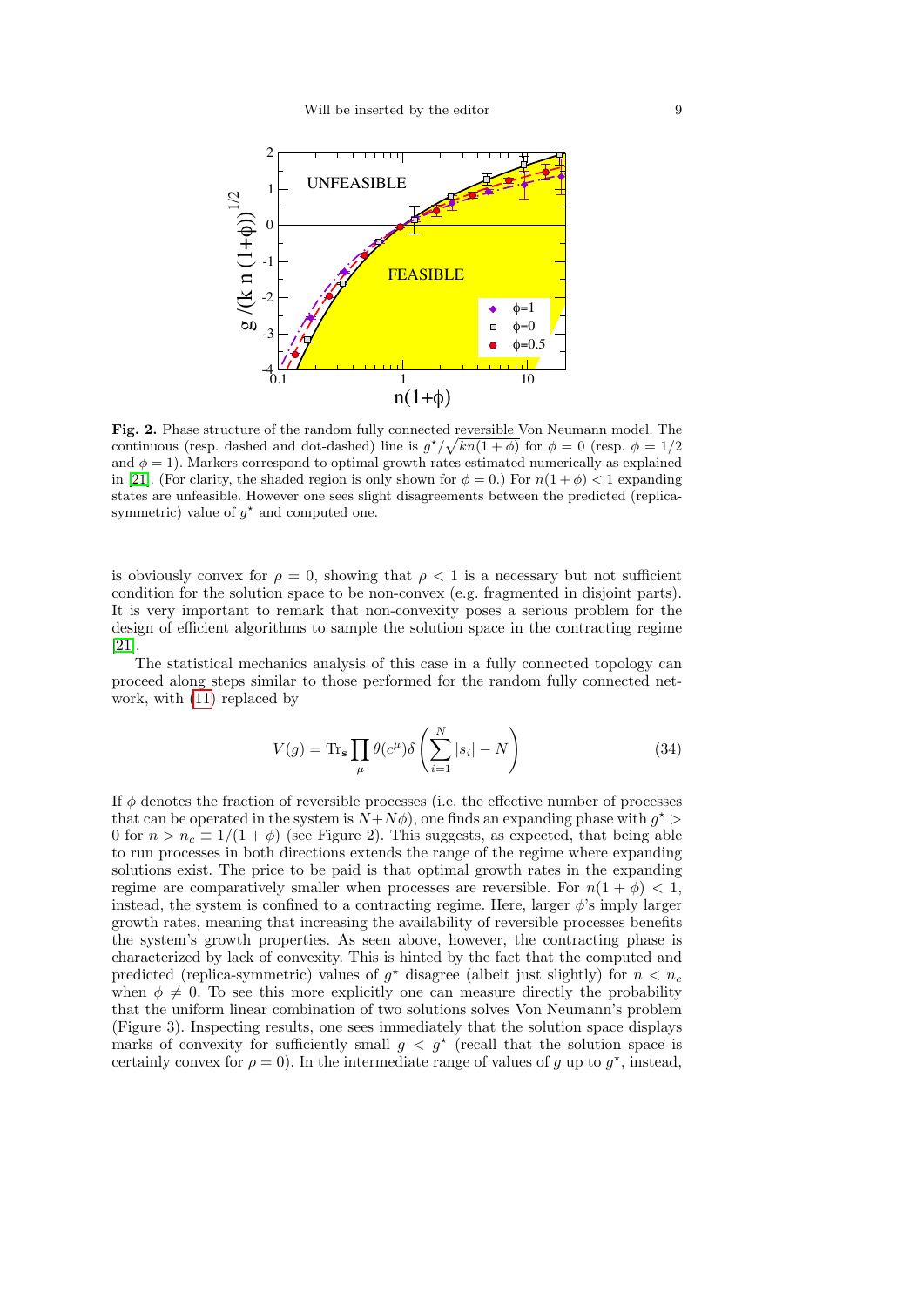

Fig. 2. Phase structure of the random fully connected reversible Von Neumann model. The continuous (resp. dashed and dot-dashed) line is  $g^*/\sqrt{kn(1+\phi)}$  for  $\phi = 0$  (resp.  $\phi = 1/2$ and  $\phi = 1$ ). Markers correspond to optimal growth rates estimated numerically as explained in [\[21\]](#page-18-20). (For clarity, the shaded region is only shown for  $\phi = 0$ .) For  $n(1 + \phi) < 1$  expanding states are unfeasible. However one sees slight disagreements between the predicted (replicasymmetric) value of  $g^*$  and computed one.

is obviously convex for  $\rho = 0$ , showing that  $\rho < 1$  is a necessary but not sufficient condition for the solution space to be non-convex (e.g. fragmented in disjoint parts). It is very important to remark that non-convexity poses a serious problem for the design of efficient algorithms to sample the solution space in the contracting regime [\[21\]](#page-18-20).

The statistical mechanics analysis of this case in a fully connected topology can proceed along steps similar to those performed for the random fully connected network, with [\(11\)](#page-4-1) replaced by

$$
V(g) = \text{Tr}_{\mathbf{s}} \prod_{\mu} \theta(c^{\mu}) \delta\left(\sum_{i=1}^{N} |s_i| - N\right)
$$
 (34)

If  $\phi$  denotes the fraction of reversible processes (i.e. the effective number of processes that can be operated in the system is  $\overline{N}+N\phi$ , one finds an expanding phase with  $g^*$ 0 for  $n > n_c \equiv 1/(1 + \phi)$  (see Figure 2). This suggests, as expected, that being able to run processes in both directions extends the range of the regime where expanding solutions exist. The price to be paid is that optimal growth rates in the expanding regime are comparatively smaller when processes are reversible. For  $n(1 + \phi) < 1$ , instead, the system is confined to a contracting regime. Here, larger  $\phi$ 's imply larger growth rates, meaning that increasing the availability of reversible processes benefits the system's growth properties. As seen above, however, the contracting phase is characterized by lack of convexity. This is hinted by the fact that the computed and predicted (replica-symmetric) values of  $g^*$  disagree (albeit just slightly) for  $n < n_c$ when  $\phi \neq 0$ . To see this more explicitly one can measure directly the probability that the uniform linear combination of two solutions solves Von Neumann's problem (Figure 3). Inspecting results, one sees immediately that the solution space displays marks of convexity for sufficiently small  $g \leq g^*$  (recall that the solution space is certainly convex for  $\rho = 0$ ). In the intermediate range of values of g up to  $g^*$ , instead,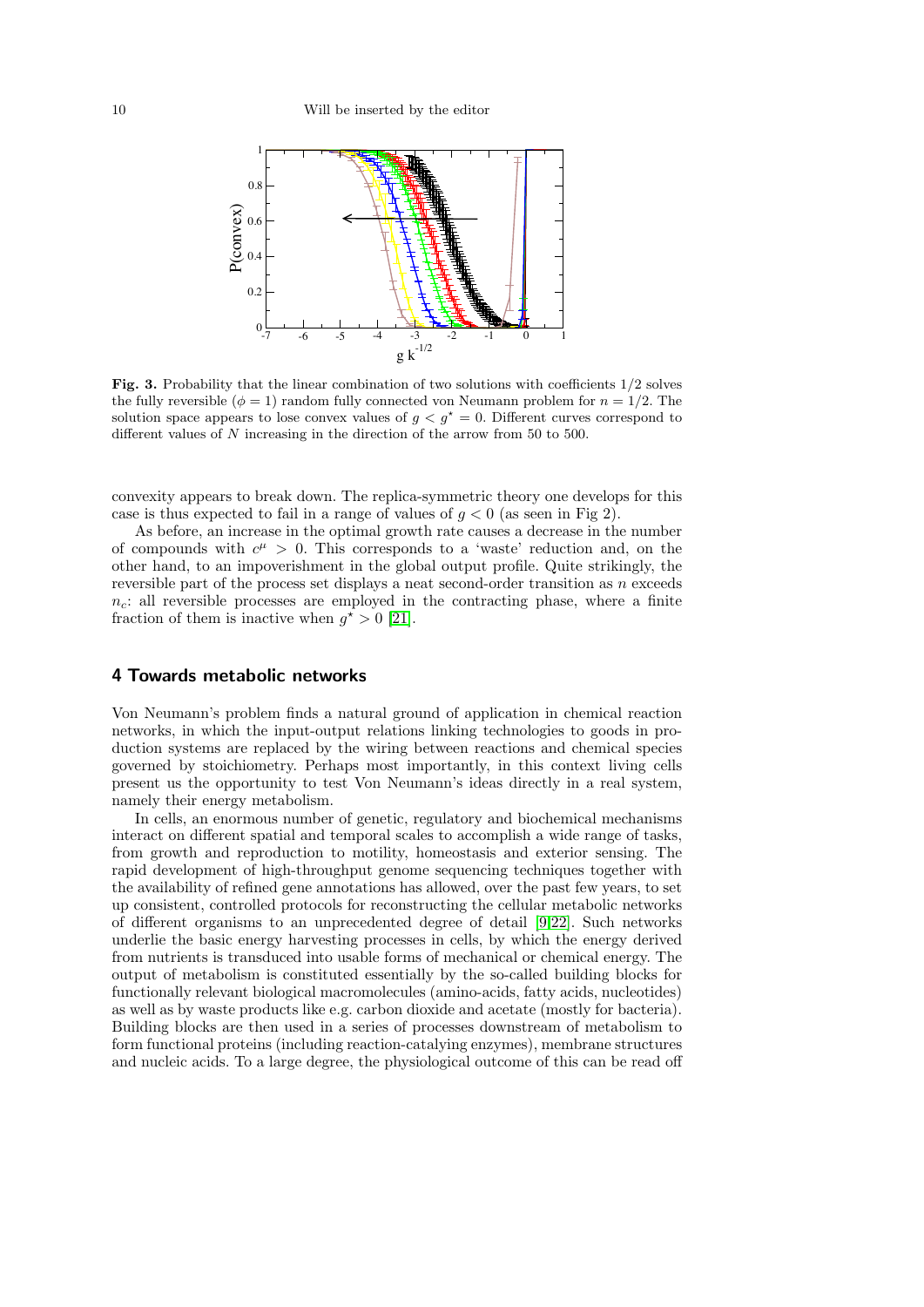

Fig. 3. Probability that the linear combination of two solutions with coefficients  $1/2$  solves the fully reversible ( $\phi = 1$ ) random fully connected von Neumann problem for  $n = 1/2$ . The solution space appears to lose convex values of  $q < q^* = 0$ . Different curves correspond to different values of N increasing in the direction of the arrow from 50 to 500.

convexity appears to break down. The replica-symmetric theory one develops for this case is thus expected to fail in a range of values of  $q < 0$  (as seen in Fig 2).

As before, an increase in the optimal growth rate causes a decrease in the number of compounds with  $c^{\mu} > 0$ . This corresponds to a 'waste' reduction and, on the other hand, to an impoverishment in the global output profile. Quite strikingly, the reversible part of the process set displays a neat second-order transition as  $n$  exceeds  $n_c$ : all reversible processes are employed in the contracting phase, where a finite fraction of them is inactive when  $g^* > 0$  [\[21\]](#page-18-20).

# 4 Towards metabolic networks

Von Neumann's problem finds a natural ground of application in chemical reaction networks, in which the input-output relations linking technologies to goods in production systems are replaced by the wiring between reactions and chemical species governed by stoichiometry. Perhaps most importantly, in this context living cells present us the opportunity to test Von Neumann's ideas directly in a real system, namely their energy metabolism.

In cells, an enormous number of genetic, regulatory and biochemical mechanisms interact on different spatial and temporal scales to accomplish a wide range of tasks, from growth and reproduction to motility, homeostasis and exterior sensing. The rapid development of high-throughput genome sequencing techniques together with the availability of refined gene annotations has allowed, over the past few years, to set up consistent, controlled protocols for reconstructing the cellular metabolic networks of different organisms to an unprecedented degree of detail [\[9](#page-18-8)[,22\]](#page-18-21). Such networks underlie the basic energy harvesting processes in cells, by which the energy derived from nutrients is transduced into usable forms of mechanical or chemical energy. The output of metabolism is constituted essentially by the so-called building blocks for functionally relevant biological macromolecules (amino-acids, fatty acids, nucleotides) as well as by waste products like e.g. carbon dioxide and acetate (mostly for bacteria). Building blocks are then used in a series of processes downstream of metabolism to form functional proteins (including reaction-catalying enzymes), membrane structures and nucleic acids. To a large degree, the physiological outcome of this can be read off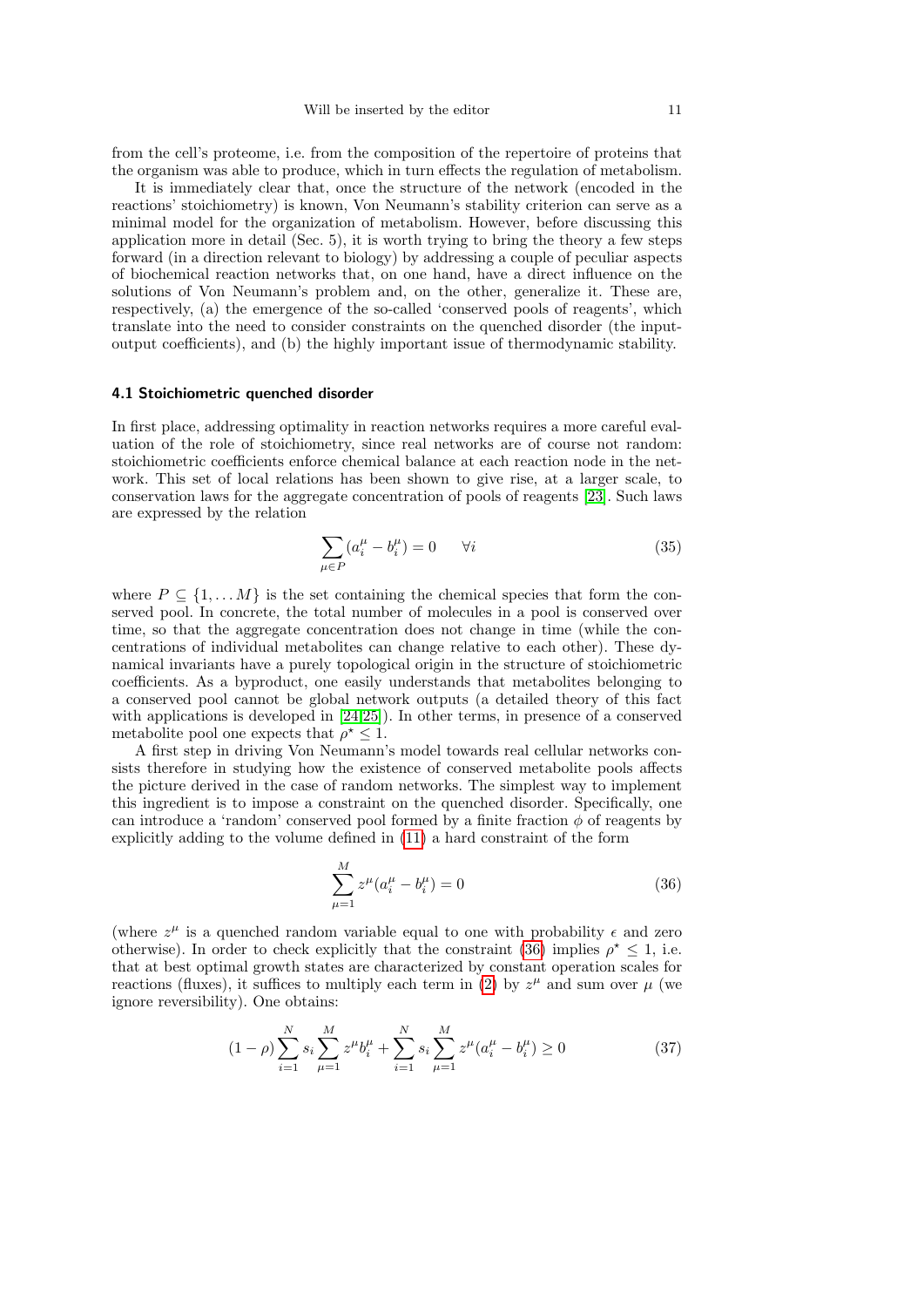from the cell's proteome, i.e. from the composition of the repertoire of proteins that the organism was able to produce, which in turn effects the regulation of metabolism.

It is immediately clear that, once the structure of the network (encoded in the reactions' stoichiometry) is known, Von Neumann's stability criterion can serve as a minimal model for the organization of metabolism. However, before discussing this application more in detail (Sec. 5), it is worth trying to bring the theory a few steps forward (in a direction relevant to biology) by addressing a couple of peculiar aspects of biochemical reaction networks that, on one hand, have a direct influence on the solutions of Von Neumann's problem and, on the other, generalize it. These are, respectively, (a) the emergence of the so-called 'conserved pools of reagents', which translate into the need to consider constraints on the quenched disorder (the inputoutput coefficients), and (b) the highly important issue of thermodynamic stability.

## 4.1 Stoichiometric quenched disorder

In first place, addressing optimality in reaction networks requires a more careful evaluation of the role of stoichiometry, since real networks are of course not random: stoichiometric coefficients enforce chemical balance at each reaction node in the network. This set of local relations has been shown to give rise, at a larger scale, to conservation laws for the aggregate concentration of pools of reagents [\[23\]](#page-18-22). Such laws are expressed by the relation

$$
\sum_{\mu \in P} (a_i^{\mu} - b_i^{\mu}) = 0 \qquad \forall i \tag{35}
$$

where  $P \subseteq \{1, \ldots M\}$  is the set containing the chemical species that form the conserved pool. In concrete, the total number of molecules in a pool is conserved over time, so that the aggregate concentration does not change in time (while the concentrations of individual metabolites can change relative to each other). These dynamical invariants have a purely topological origin in the structure of stoichiometric coefficients. As a byproduct, one easily understands that metabolites belonging to a conserved pool cannot be global network outputs (a detailed theory of this fact with applications is developed in [\[24,](#page-18-23)[25\]](#page-19-0)). In other terms, in presence of a conserved metabolite pool one expects that  $\rho^* \leq 1$ .

A first step in driving Von Neumann's model towards real cellular networks consists therefore in studying how the existence of conserved metabolite pools affects the picture derived in the case of random networks. The simplest way to implement this ingredient is to impose a constraint on the quenched disorder. Specifically, one can introduce a 'random' conserved pool formed by a finite fraction  $\phi$  of reagents by explicitly adding to the volume defined in [\(11\)](#page-4-1) a hard constraint of the form

<span id="page-10-0"></span>
$$
\sum_{\mu=1}^{M} z^{\mu} (a_i^{\mu} - b_i^{\mu}) = 0
$$
\n(36)

(where  $z^{\mu}$  is a quenched random variable equal to one with probability  $\epsilon$  and zero otherwise). In order to check explicitly that the constraint [\(36\)](#page-10-0) implies  $\rho^* \leq 1$ , i.e. that at best optimal growth states are characterized by constant operation scales for reactions (fluxes), it suffices to multiply each term in [\(2\)](#page-1-0) by  $z^{\mu}$  and sum over  $\mu$  (we ignore reversibility). One obtains:

$$
(1 - \rho) \sum_{i=1}^{N} s_i \sum_{\mu=1}^{M} z^{\mu} b_i^{\mu} + \sum_{i=1}^{N} s_i \sum_{\mu=1}^{M} z^{\mu} (a_i^{\mu} - b_i^{\mu}) \ge 0
$$
 (37)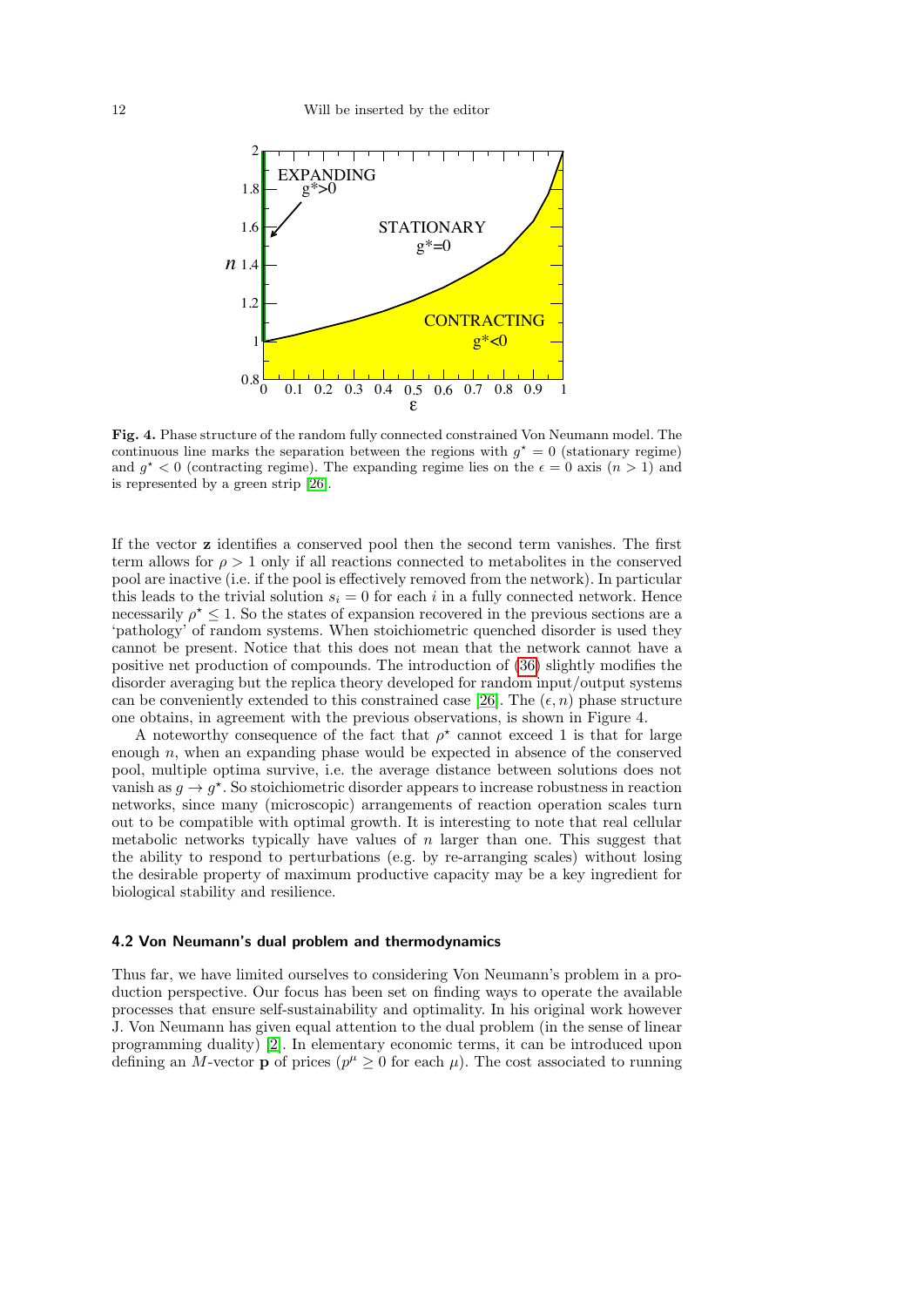

Fig. 4. Phase structure of the random fully connected constrained Von Neumann model. The continuous line marks the separation between the regions with  $g^* = 0$  (stationary regime) and  $g^* < 0$  (contracting regime). The expanding regime lies on the  $\epsilon = 0$  axis  $(n > 1)$  and is represented by a green strip [\[26\]](#page-19-1).

If the vector z identifies a conserved pool then the second term vanishes. The first term allows for  $\rho > 1$  only if all reactions connected to metabolites in the conserved pool are inactive (i.e. if the pool is effectively removed from the network). In particular this leads to the trivial solution  $s_i = 0$  for each i in a fully connected network. Hence necessarily  $\rho^* \leq 1$ . So the states of expansion recovered in the previous sections are a 'pathology' of random systems. When stoichiometric quenched disorder is used they cannot be present. Notice that this does not mean that the network cannot have a positive net production of compounds. The introduction of [\(36\)](#page-10-0) slightly modifies the disorder averaging but the replica theory developed for random input/output systems can be conveniently extended to this constrained case [\[26\]](#page-19-1). The  $(\epsilon, n)$  phase structure one obtains, in agreement with the previous observations, is shown in Figure 4.

A noteworthy consequence of the fact that  $\rho^*$  cannot exceed 1 is that for large enough n, when an expanding phase would be expected in absence of the conserved pool, multiple optima survive, i.e. the average distance between solutions does not vanish as  $g \to g^*$ . So stoichiometric disorder appears to increase robustness in reaction networks, since many (microscopic) arrangements of reaction operation scales turn out to be compatible with optimal growth. It is interesting to note that real cellular metabolic networks typically have values of  $n$  larger than one. This suggest that the ability to respond to perturbations (e.g. by re-arranging scales) without losing the desirable property of maximum productive capacity may be a key ingredient for biological stability and resilience.

#### 4.2 Von Neumann's dual problem and thermodynamics

Thus far, we have limited ourselves to considering Von Neumann's problem in a production perspective. Our focus has been set on finding ways to operate the available processes that ensure self-sustainability and optimality. In his original work however J. Von Neumann has given equal attention to the dual problem (in the sense of linear programming duality) [\[2\]](#page-18-1). In elementary economic terms, it can be introduced upon defining an M-vector **p** of prices  $(p^{\mu} \geq 0$  for each  $\mu$ ). The cost associated to running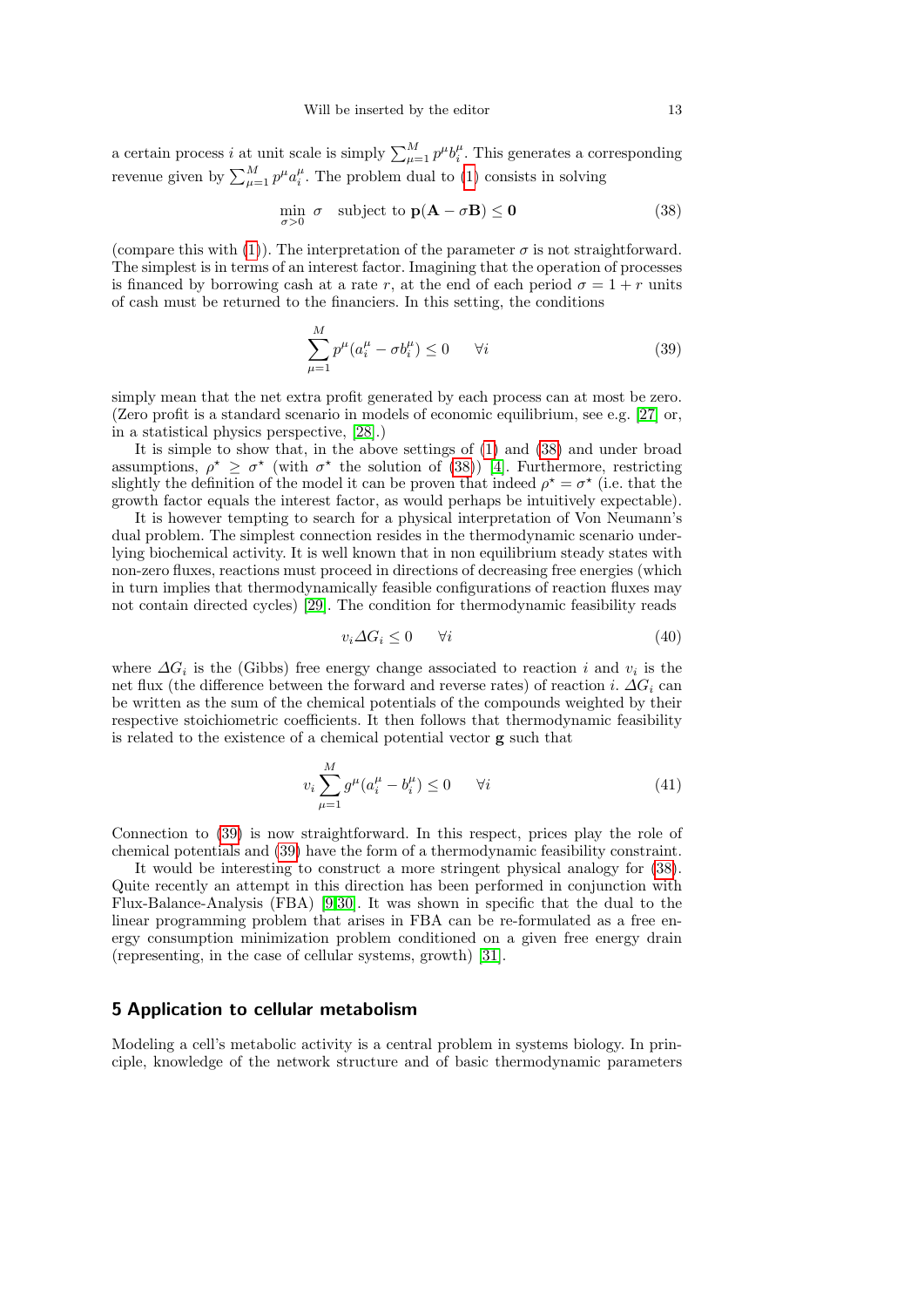a certain process i at unit scale is simply  $\sum_{\mu=1}^{M} p^{\mu} b_i^{\mu}$ . This generates a corresponding revenue given by  $\sum_{\mu=1}^{M} p^{\mu} a_i^{\mu}$ . The problem dual to [\(1\)](#page-1-1) consists in solving

<span id="page-12-0"></span>
$$
\min_{\sigma > 0} \sigma \quad \text{subject to } \mathbf{p}(\mathbf{A} - \sigma \mathbf{B}) \le \mathbf{0} \tag{38}
$$

(compare this with [\(1\)](#page-1-1)). The interpretation of the parameter  $\sigma$  is not straightforward. The simplest is in terms of an interest factor. Imagining that the operation of processes is financed by borrowing cash at a rate r, at the end of each period  $\sigma = 1 + r$  units of cash must be returned to the financiers. In this setting, the conditions

<span id="page-12-1"></span>
$$
\sum_{\mu=1}^{M} p^{\mu} (a_i^{\mu} - \sigma b_i^{\mu}) \le 0 \qquad \forall i \tag{39}
$$

simply mean that the net extra profit generated by each process can at most be zero. (Zero profit is a standard scenario in models of economic equilibrium, see e.g. [\[27\]](#page-19-2) or, in a statistical physics perspective, [\[28\]](#page-19-3).)

It is simple to show that, in the above settings of [\(1\)](#page-1-1) and [\(38\)](#page-12-0) and under broad assumptions,  $\rho^* \geq \sigma^*$  (with  $\sigma^*$  the solution of [\(38\)](#page-12-0)) [\[4\]](#page-18-3). Furthermore, restricting slightly the definition of the model it can be proven that indeed  $\rho^* = \sigma^*$  (i.e. that the growth factor equals the interest factor, as would perhaps be intuitively expectable).

It is however tempting to search for a physical interpretation of Von Neumann's dual problem. The simplest connection resides in the thermodynamic scenario underlying biochemical activity. It is well known that in non equilibrium steady states with non-zero fluxes, reactions must proceed in directions of decreasing free energies (which in turn implies that thermodynamically feasible configurations of reaction fluxes may not contain directed cycles) [\[29\]](#page-19-4). The condition for thermodynamic feasibility reads

$$
v_i \Delta G_i \le 0 \qquad \forall i \tag{40}
$$

where  $\Delta G_i$  is the (Gibbs) free energy change associated to reaction i and  $v_i$  is the net flux (the difference between the forward and reverse rates) of reaction i.  $\Delta G_i$  can be written as the sum of the chemical potentials of the compounds weighted by their respective stoichiometric coefficients. It then follows that thermodynamic feasibility is related to the existence of a chemical potential vector g such that

$$
v_i \sum_{\mu=1}^{M} g^{\mu} (a_i^{\mu} - b_i^{\mu}) \le 0 \qquad \forall i \tag{41}
$$

Connection to [\(39\)](#page-12-1) is now straightforward. In this respect, prices play the role of chemical potentials and [\(39\)](#page-12-1) have the form of a thermodynamic feasibility constraint.

It would be interesting to construct a more stringent physical analogy for [\(38\)](#page-12-0). Quite recently an attempt in this direction has been performed in conjunction with Flux-Balance-Analysis (FBA) [\[9,](#page-18-8)[30\]](#page-19-5). It was shown in specific that the dual to the linear programming problem that arises in FBA can be re-formulated as a free energy consumption minimization problem conditioned on a given free energy drain (representing, in the case of cellular systems, growth) [\[31\]](#page-19-6).

## 5 Application to cellular metabolism

Modeling a cell's metabolic activity is a central problem in systems biology. In principle, knowledge of the network structure and of basic thermodynamic parameters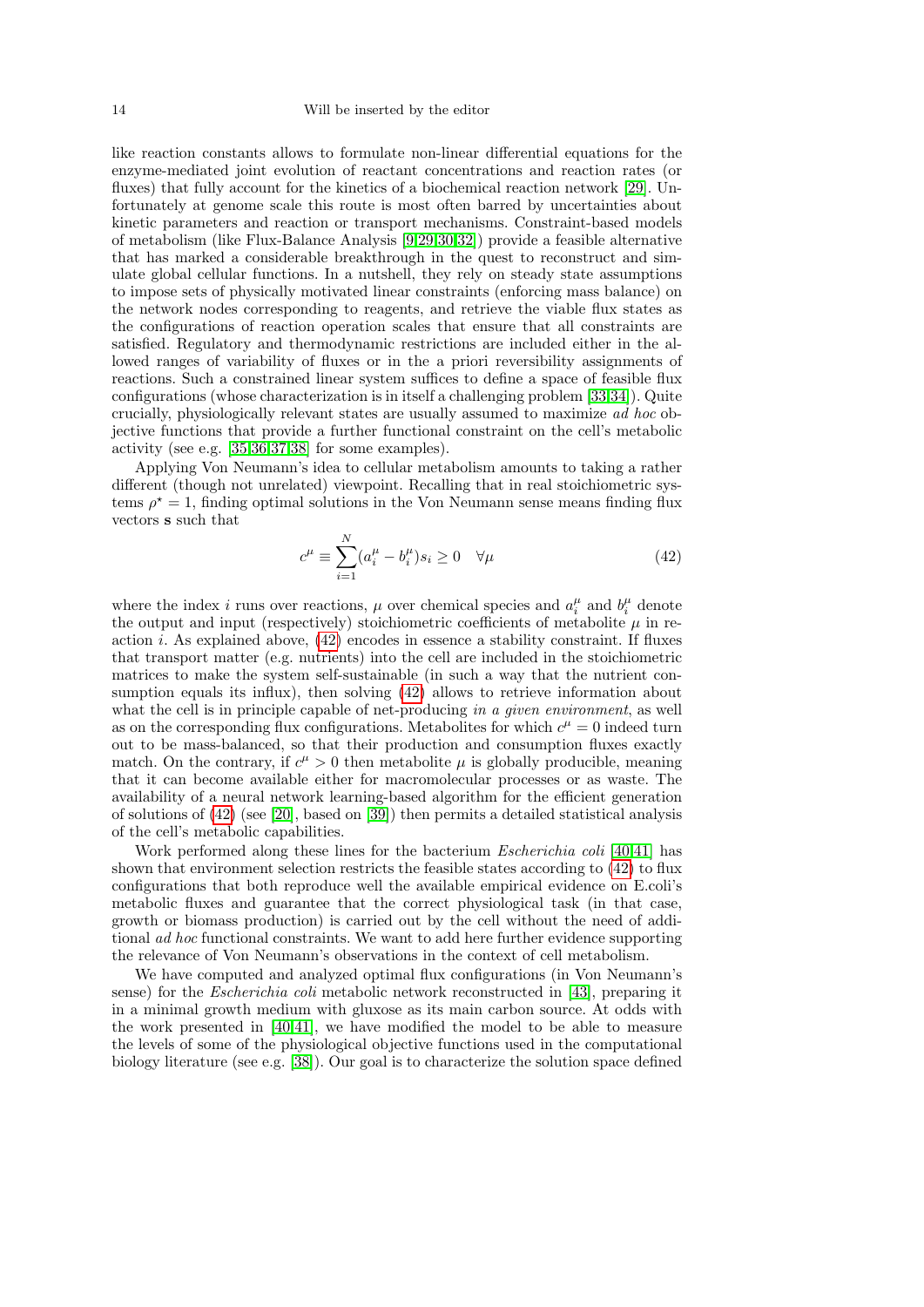like reaction constants allows to formulate non-linear differential equations for the enzyme-mediated joint evolution of reactant concentrations and reaction rates (or fluxes) that fully account for the kinetics of a biochemical reaction network [\[29\]](#page-19-4). Unfortunately at genome scale this route is most often barred by uncertainties about kinetic parameters and reaction or transport mechanisms. Constraint-based models of metabolism (like Flux-Balance Analysis [\[9,](#page-18-8)[29](#page-19-4)[,30,](#page-19-5)[32\]](#page-19-7)) provide a feasible alternative that has marked a considerable breakthrough in the quest to reconstruct and simulate global cellular functions. In a nutshell, they rely on steady state assumptions to impose sets of physically motivated linear constraints (enforcing mass balance) on the network nodes corresponding to reagents, and retrieve the viable flux states as the configurations of reaction operation scales that ensure that all constraints are satisfied. Regulatory and thermodynamic restrictions are included either in the allowed ranges of variability of fluxes or in the a priori reversibility assignments of reactions. Such a constrained linear system suffices to define a space of feasible flux configurations (whose characterization is in itself a challenging problem [\[33,](#page-19-8)[34\]](#page-19-9)). Quite crucially, physiologically relevant states are usually assumed to maximize ad hoc objective functions that provide a further functional constraint on the cell's metabolic activity (see e.g. [\[35](#page-19-10)[,36,](#page-19-11)[37,](#page-19-12)[38\]](#page-19-13) for some examples).

Applying Von Neumann's idea to cellular metabolism amounts to taking a rather different (though not unrelated) viewpoint. Recalling that in real stoichiometric systems  $\rho^* = 1$ , finding optimal solutions in the Von Neumann sense means finding flux vectors s such that

<span id="page-13-0"></span>
$$
c^{\mu} \equiv \sum_{i=1}^{N} (a_i^{\mu} - b_i^{\mu}) s_i \ge 0 \quad \forall \mu
$$
\n(42)

where the index *i* runs over reactions,  $\mu$  over chemical species and  $a_i^{\mu}$  and  $b_i^{\mu}$  denote the output and input (respectively) stoichiometric coefficients of metabolite  $\mu$  in reaction *i*. As explained above,  $(42)$  encodes in essence a stability constraint. If fluxes that transport matter (e.g. nutrients) into the cell are included in the stoichiometric matrices to make the system self-sustainable (in such a way that the nutrient con-sumption equals its influx), then solving [\(42\)](#page-13-0) allows to retrieve information about what the cell is in principle capable of net-producing in a given environment, as well as on the corresponding flux configurations. Metabolites for which  $c^{\mu} = 0$  indeed turn out to be mass-balanced, so that their production and consumption fluxes exactly match. On the contrary, if  $c^{\mu} > 0$  then metabolite  $\mu$  is globally producible, meaning that it can become available either for macromolecular processes or as waste. The availability of a neural network learning-based algorithm for the efficient generation of solutions of [\(42\)](#page-13-0) (see [\[20\]](#page-18-19), based on [\[39\]](#page-19-14)) then permits a detailed statistical analysis of the cell's metabolic capabilities.

Work performed along these lines for the bacterium Escherichia coli [\[40,](#page-19-15)[41\]](#page-19-16) has shown that environment selection restricts the feasible states according to [\(42\)](#page-13-0) to flux configurations that both reproduce well the available empirical evidence on E.coli's metabolic fluxes and guarantee that the correct physiological task (in that case, growth or biomass production) is carried out by the cell without the need of additional ad hoc functional constraints. We want to add here further evidence supporting the relevance of Von Neumann's observations in the context of cell metabolism.

We have computed and analyzed optimal flux configurations (in Von Neumann's sense) for the Escherichia coli metabolic network reconstructed in [\[43\]](#page-19-17), preparing it in a minimal growth medium with gluxose as its main carbon source. At odds with the work presented in [\[40,](#page-19-15)[41\]](#page-19-16), we have modified the model to be able to measure the levels of some of the physiological objective functions used in the computational biology literature (see e.g. [\[38\]](#page-19-13)). Our goal is to characterize the solution space defined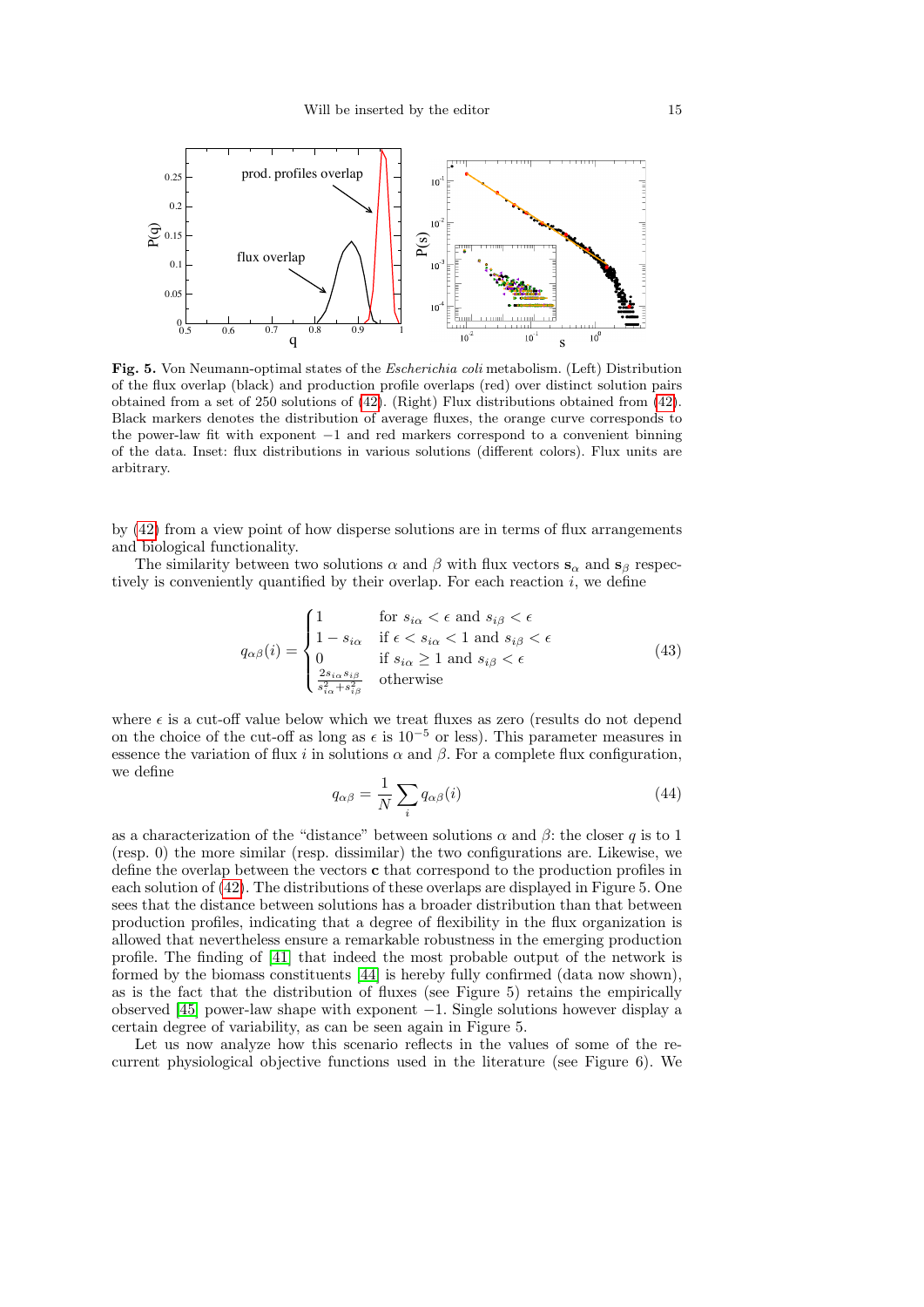

Black markers denotes the distribution of average fluxes, the orange curve corresponds to Fig. 5. Von Neumann-optimal states of the Escherichia coli metabolism. (Left) Distribution of the flux overlap (black) and production profile overlaps (red) over distinct solution pairs obtained from a set of 250 solutions of [\(42\)](#page-13-0). (Right) Flux distributions obtained from [\(42\)](#page-13-0). the power-law fit with exponent −1 and red markers correspond to a convenient binning of the data. Inset: flux distributions in various solutions (different colors). Flux units are arbitrary.

by [\(42\)](#page-13-0) from a view point of how disperse solutions are in terms of flux arrangements and biological functionality.

The similarity between two solutions  $\alpha$  and  $\beta$  with flux vectors  $\mathbf{s}_{\alpha}$  and  $\mathbf{s}_{\beta}$  respectively is conveniently quantified by their overlap. For each reaction  $i$ , we define

$$
q_{\alpha\beta}(i) = \begin{cases} 1 & \text{for } s_{i\alpha} < \epsilon \text{ and } s_{i\beta} < \epsilon \\ 1 - s_{i\alpha} & \text{if } \epsilon < s_{i\alpha} < 1 \text{ and } s_{i\beta} < \epsilon \\ 0 & \text{if } s_{i\alpha} \ge 1 \text{ and } s_{i\beta} < \epsilon \\ \frac{2s_{i\alpha}s_{i\beta}}{s_{i\alpha}^2 + s_{i\beta}^2} & \text{otherwise} \end{cases} \tag{43}
$$

where  $\epsilon$  is a cut-off value below which we treat fluxes as zero (results do not depend on the choice of the cut-off as long as  $\epsilon$  is 10<sup>-5</sup> or less). This parameter measures in essence the variation of flux i in solutions  $\alpha$  and  $\beta$ . For a complete flux configuration, we define

$$
q_{\alpha\beta} = \frac{1}{N} \sum_{i} q_{\alpha\beta}(i)
$$
\n(44)

as a characterization of the "distance" between solutions  $\alpha$  and  $\beta$ : the closer q is to 1 (resp. 0) the more similar (resp. dissimilar) the two configurations are. Likewise, we define the overlap between the vectors c that correspond to the production profiles in each solution of [\(42\)](#page-13-0). The distributions of these overlaps are displayed in Figure 5. One sees that the distance between solutions has a broader distribution than that between production profiles, indicating that a degree of flexibility in the flux organization is allowed that nevertheless ensure a remarkable robustness in the emerging production profile. The finding of [\[41\]](#page-19-16) that indeed the most probable output of the network is formed by the biomass constituents [\[44\]](#page-19-18) is hereby fully confirmed (data now shown), as is the fact that the distribution of fluxes (see Figure 5) retains the empirically observed [\[45\]](#page-19-19) power-law shape with exponent −1. Single solutions however display a certain degree of variability, as can be seen again in Figure 5.

Let us now analyze how this scenario reflects in the values of some of the recurrent physiological objective functions used in the literature (see Figure 6). We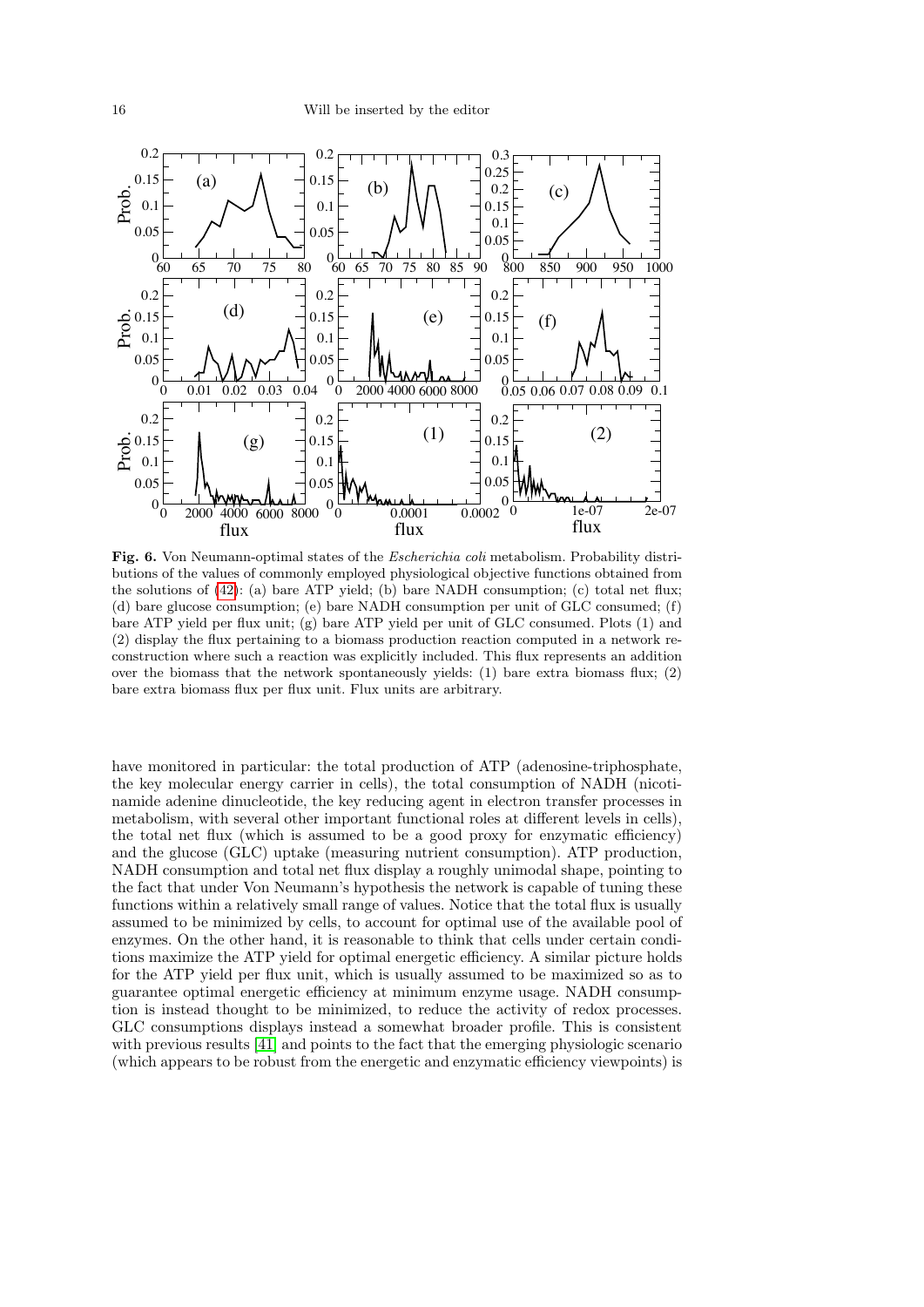

Fig. 6. Von Neumann-optimal states of the Escherichia coli metabolism. Probability distributions of the values of commonly employed physiological objective functions obtained from the solutions of [\(42\)](#page-13-0): (a) bare ATP yield; (b) bare NADH consumption; (c) total net flux; (d) bare glucose consumption; (e) bare NADH consumption per unit of GLC consumed; (f) bare ATP yield per flux unit; (g) bare ATP yield per unit of GLC consumed. Plots (1) and (2) display the flux pertaining to a biomass production reaction computed in a network reconstruction where such a reaction was explicitly included. This flux represents an addition over the biomass that the network spontaneously yields: (1) bare extra biomass flux; (2) bare extra biomass flux per flux unit. Flux units are arbitrary.

have monitored in particular: the total production of ATP (adenosine-triphosphate, the key molecular energy carrier in cells), the total consumption of NADH (nicotinamide adenine dinucleotide, the key reducing agent in electron transfer processes in metabolism, with several other important functional roles at different levels in cells), the total net flux (which is assumed to be a good proxy for enzymatic efficiency) and the glucose (GLC) uptake (measuring nutrient consumption). ATP production, NADH consumption and total net flux display a roughly unimodal shape, pointing to the fact that under Von Neumann's hypothesis the network is capable of tuning these functions within a relatively small range of values. Notice that the total flux is usually assumed to be minimized by cells, to account for optimal use of the available pool of enzymes. On the other hand, it is reasonable to think that cells under certain conditions maximize the ATP yield for optimal energetic efficiency. A similar picture holds for the ATP yield per flux unit, which is usually assumed to be maximized so as to guarantee optimal energetic efficiency at minimum enzyme usage. NADH consumption is instead thought to be minimized, to reduce the activity of redox processes. GLC consumptions displays instead a somewhat broader profile. This is consistent with previous results [\[41\]](#page-19-16) and points to the fact that the emerging physiologic scenario (which appears to be robust from the energetic and enzymatic efficiency viewpoints) is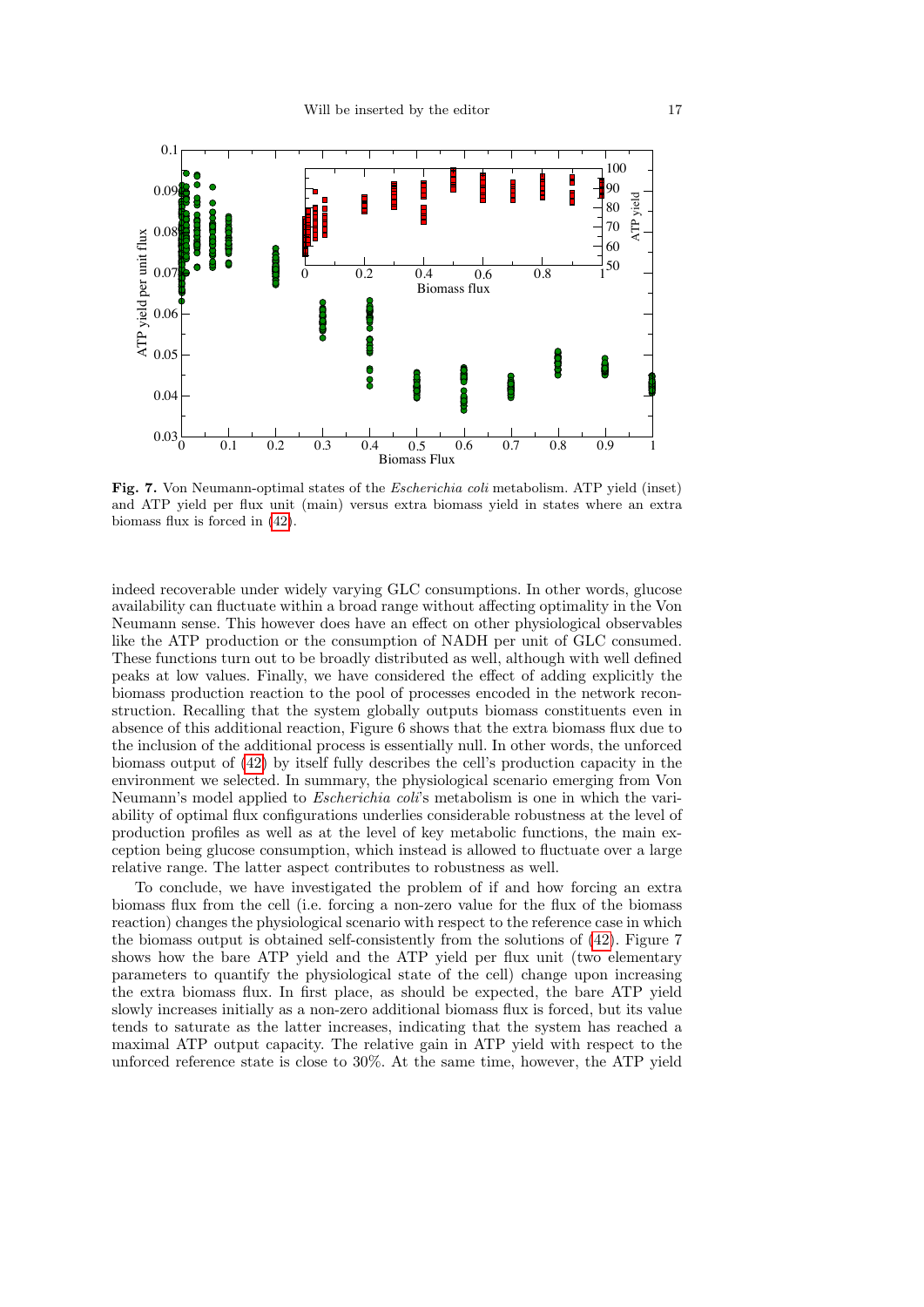

Fig. 7. Von Neumann-optimal states of the Escherichia coli metabolism. ATP yield (inset) and ATP yield per flux unit (main) versus extra biomass yield in states where an extra biomass flux is forced in [\(42\)](#page-13-0).

indeed recoverable under widely varying GLC consumptions. In other words, glucose availability can fluctuate within a broad range without affecting optimality in the Von Neumann sense. This however does have an effect on other physiological observables like the ATP production or the consumption of NADH per unit of GLC consumed. These functions turn out to be broadly distributed as well, although with well defined peaks at low values. Finally, we have considered the effect of adding explicitly the biomass production reaction to the pool of processes encoded in the network reconstruction. Recalling that the system globally outputs biomass constituents even in absence of this additional reaction, Figure 6 shows that the extra biomass flux due to the inclusion of the additional process is essentially null. In other words, the unforced biomass output of [\(42\)](#page-13-0) by itself fully describes the cell's production capacity in the environment we selected. In summary, the physiological scenario emerging from Von Neumann's model applied to *Escherichia coli*'s metabolism is one in which the variability of optimal flux configurations underlies considerable robustness at the level of production profiles as well as at the level of key metabolic functions, the main exception being glucose consumption, which instead is allowed to fluctuate over a large relative range. The latter aspect contributes to robustness as well.

To conclude, we have investigated the problem of if and how forcing an extra biomass flux from the cell (i.e. forcing a non-zero value for the flux of the biomass reaction) changes the physiological scenario with respect to the reference case in which the biomass output is obtained self-consistently from the solutions of [\(42\)](#page-13-0). Figure 7 shows how the bare ATP yield and the ATP yield per flux unit (two elementary parameters to quantify the physiological state of the cell) change upon increasing the extra biomass flux. In first place, as should be expected, the bare ATP yield slowly increases initially as a non-zero additional biomass flux is forced, but its value tends to saturate as the latter increases, indicating that the system has reached a maximal ATP output capacity. The relative gain in ATP yield with respect to the unforced reference state is close to 30%. At the same time, however, the ATP yield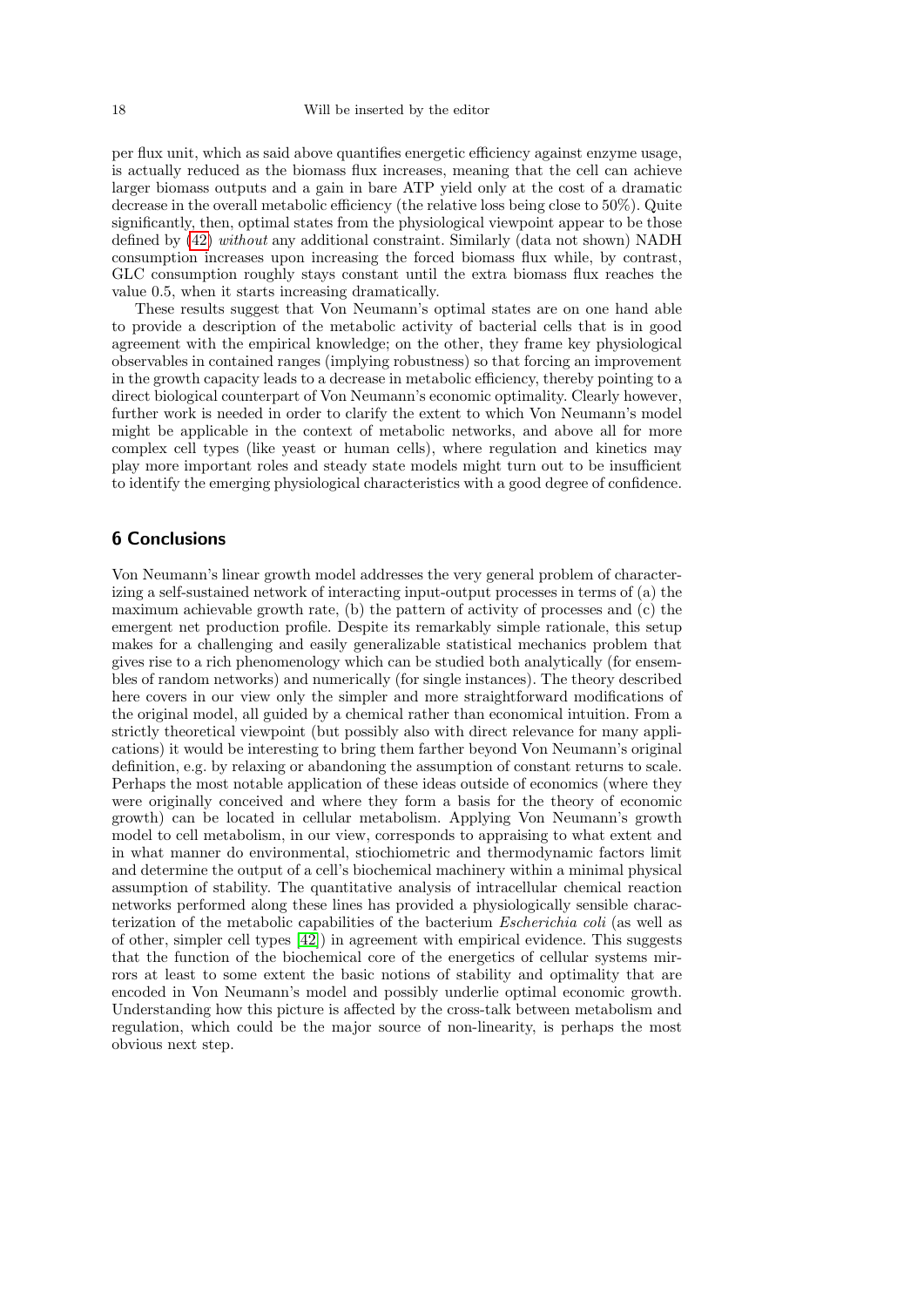per flux unit, which as said above quantifies energetic efficiency against enzyme usage, is actually reduced as the biomass flux increases, meaning that the cell can achieve larger biomass outputs and a gain in bare ATP yield only at the cost of a dramatic decrease in the overall metabolic efficiency (the relative loss being close to 50%). Quite significantly, then, optimal states from the physiological viewpoint appear to be those defined by [\(42\)](#page-13-0) without any additional constraint. Similarly (data not shown) NADH consumption increases upon increasing the forced biomass flux while, by contrast, GLC consumption roughly stays constant until the extra biomass flux reaches the value 0.5, when it starts increasing dramatically.

These results suggest that Von Neumann's optimal states are on one hand able to provide a description of the metabolic activity of bacterial cells that is in good agreement with the empirical knowledge; on the other, they frame key physiological observables in contained ranges (implying robustness) so that forcing an improvement in the growth capacity leads to a decrease in metabolic efficiency, thereby pointing to a direct biological counterpart of Von Neumann's economic optimality. Clearly however, further work is needed in order to clarify the extent to which Von Neumann's model might be applicable in the context of metabolic networks, and above all for more complex cell types (like yeast or human cells), where regulation and kinetics may play more important roles and steady state models might turn out to be insufficient to identify the emerging physiological characteristics with a good degree of confidence.

# 6 Conclusions

Von Neumann's linear growth model addresses the very general problem of characterizing a self-sustained network of interacting input-output processes in terms of (a) the maximum achievable growth rate, (b) the pattern of activity of processes and (c) the emergent net production profile. Despite its remarkably simple rationale, this setup makes for a challenging and easily generalizable statistical mechanics problem that gives rise to a rich phenomenology which can be studied both analytically (for ensembles of random networks) and numerically (for single instances). The theory described here covers in our view only the simpler and more straightforward modifications of the original model, all guided by a chemical rather than economical intuition. From a strictly theoretical viewpoint (but possibly also with direct relevance for many applications) it would be interesting to bring them farther beyond Von Neumann's original definition, e.g. by relaxing or abandoning the assumption of constant returns to scale. Perhaps the most notable application of these ideas outside of economics (where they were originally conceived and where they form a basis for the theory of economic growth) can be located in cellular metabolism. Applying Von Neumann's growth model to cell metabolism, in our view, corresponds to appraising to what extent and in what manner do environmental, stiochiometric and thermodynamic factors limit and determine the output of a cell's biochemical machinery within a minimal physical assumption of stability. The quantitative analysis of intracellular chemical reaction networks performed along these lines has provided a physiologically sensible characterization of the metabolic capabilities of the bacterium Escherichia coli (as well as of other, simpler cell types [\[42\]](#page-19-20)) in agreement with empirical evidence. This suggests that the function of the biochemical core of the energetics of cellular systems mirrors at least to some extent the basic notions of stability and optimality that are encoded in Von Neumann's model and possibly underlie optimal economic growth. Understanding how this picture is affected by the cross-talk between metabolism and regulation, which could be the major source of non-linearity, is perhaps the most obvious next step.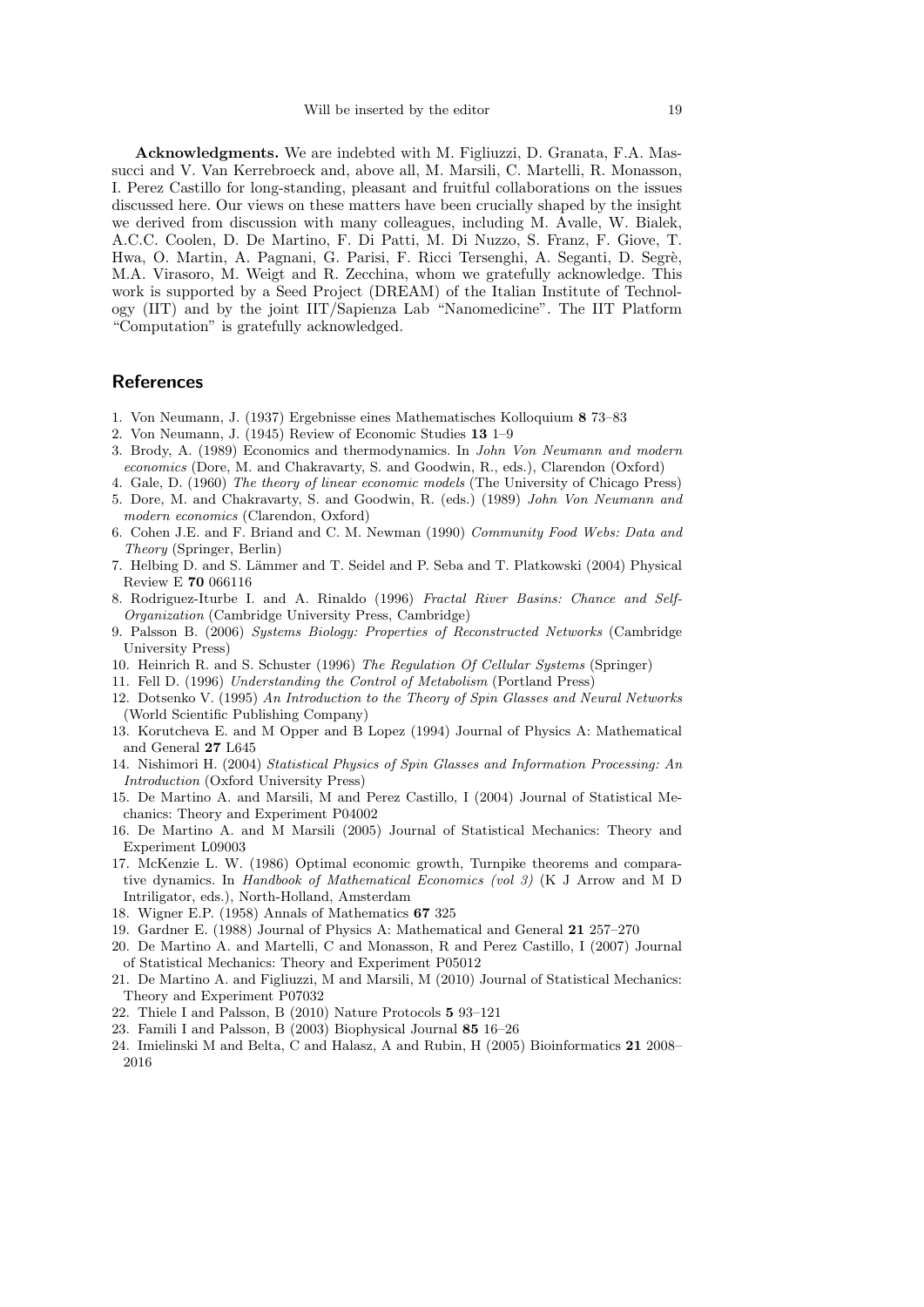Acknowledgments. We are indebted with M. Figliuzzi, D. Granata, F.A. Massucci and V. Van Kerrebroeck and, above all, M. Marsili, C. Martelli, R. Monasson, I. Perez Castillo for long-standing, pleasant and fruitful collaborations on the issues discussed here. Our views on these matters have been crucially shaped by the insight we derived from discussion with many colleagues, including M. Avalle, W. Bialek, A.C.C. Coolen, D. De Martino, F. Di Patti, M. Di Nuzzo, S. Franz, F. Giove, T. Hwa, O. Martin, A. Pagnani, G. Parisi, F. Ricci Tersenghi, A. Seganti, D. Segrè, M.A. Virasoro, M. Weigt and R. Zecchina, whom we gratefully acknowledge. This work is supported by a Seed Project (DREAM) of the Italian Institute of Technology (IIT) and by the joint IIT/Sapienza Lab "Nanomedicine". The IIT Platform "Computation" is gratefully acknowledged.

# **References**

- <span id="page-18-0"></span>1. Von Neumann, J. (1937) Ergebnisse eines Mathematisches Kolloquium 8 73–83
- <span id="page-18-1"></span>2. Von Neumann, J. (1945) Review of Economic Studies 13 1–9
- <span id="page-18-2"></span>3. Brody, A. (1989) Economics and thermodynamics. In John Von Neumann and modern economics (Dore, M. and Chakravarty, S. and Goodwin, R., eds.), Clarendon (Oxford)
- <span id="page-18-4"></span><span id="page-18-3"></span>4. Gale, D. (1960) The theory of linear economic models (The University of Chicago Press) 5. Dore, M. and Chakravarty, S. and Goodwin, R. (eds.) (1989) John Von Neumann and modern economics (Clarendon, Oxford)
- <span id="page-18-5"></span>6. Cohen J.E. and F. Briand and C. M. Newman (1990) Community Food Webs: Data and Theory (Springer, Berlin)
- <span id="page-18-6"></span>7. Helbing D. and S. Lämmer and T. Seidel and P. Seba and T. Platkowski (2004) Physical Review E 70 066116
- <span id="page-18-7"></span>8. Rodriguez-Iturbe I. and A. Rinaldo (1996) Fractal River Basins: Chance and Self-Organization (Cambridge University Press, Cambridge)
- <span id="page-18-8"></span>9. Palsson B. (2006) Systems Biology: Properties of Reconstructed Networks (Cambridge University Press)
- <span id="page-18-9"></span>10. Heinrich R. and S. Schuster (1996) The Regulation Of Cellular Systems (Springer)
- <span id="page-18-10"></span>11. Fell D. (1996) Understanding the Control of Metabolism (Portland Press)
- <span id="page-18-11"></span>12. Dotsenko V. (1995) An Introduction to the Theory of Spin Glasses and Neural Networks (World Scientific Publishing Company)
- <span id="page-18-12"></span>13. Korutcheva E. and M Opper and B Lopez (1994) Journal of Physics A: Mathematical and General 27 L645
- <span id="page-18-13"></span>14. Nishimori H. (2004) Statistical Physics of Spin Glasses and Information Processing: An Introduction (Oxford University Press)
- <span id="page-18-14"></span>15. De Martino A. and Marsili, M and Perez Castillo, I (2004) Journal of Statistical Mechanics: Theory and Experiment P04002
- <span id="page-18-15"></span>16. De Martino A. and M Marsili (2005) Journal of Statistical Mechanics: Theory and Experiment L09003
- <span id="page-18-16"></span>17. McKenzie L. W. (1986) Optimal economic growth, Turnpike theorems and comparative dynamics. In Handbook of Mathematical Economics (vol 3) (K J Arrow and M D Intriligator, eds.), North-Holland, Amsterdam
- <span id="page-18-17"></span>18. Wigner E.P. (1958) Annals of Mathematics 67 325
- <span id="page-18-18"></span>19. Gardner E. (1988) Journal of Physics A: Mathematical and General 21 257–270
- <span id="page-18-19"></span>20. De Martino A. and Martelli, C and Monasson, R and Perez Castillo, I (2007) Journal of Statistical Mechanics: Theory and Experiment P05012
- <span id="page-18-20"></span>21. De Martino A. and Figliuzzi, M and Marsili, M (2010) Journal of Statistical Mechanics: Theory and Experiment P07032
- <span id="page-18-21"></span>22. Thiele I and Palsson, B (2010) Nature Protocols 5 93–121
- <span id="page-18-22"></span>23. Famili I and Palsson, B (2003) Biophysical Journal 85 16–26
- <span id="page-18-23"></span>24. Imielinski M and Belta, C and Halasz, A and Rubin, H (2005) Bioinformatics 21 2008– 2016